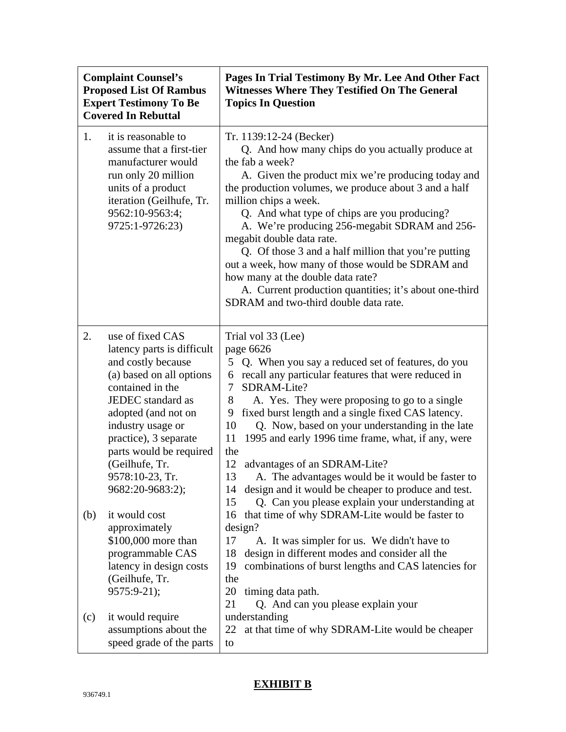| <b>Complaint Counsel's</b><br><b>Proposed List Of Rambus</b><br><b>Expert Testimony To Be</b><br><b>Covered In Rebuttal</b> |                                                                                                                                                                                                                                                                                                                                                                                                                                               | Pages In Trial Testimony By Mr. Lee And Other Fact<br><b>Witnesses Where They Testified On The General</b><br><b>Topics In Question</b>                                                                                                                                                                                                                                                                                                                                                                                                                                                                                                                                                                                                                                                                                                                                                                                  |
|-----------------------------------------------------------------------------------------------------------------------------|-----------------------------------------------------------------------------------------------------------------------------------------------------------------------------------------------------------------------------------------------------------------------------------------------------------------------------------------------------------------------------------------------------------------------------------------------|--------------------------------------------------------------------------------------------------------------------------------------------------------------------------------------------------------------------------------------------------------------------------------------------------------------------------------------------------------------------------------------------------------------------------------------------------------------------------------------------------------------------------------------------------------------------------------------------------------------------------------------------------------------------------------------------------------------------------------------------------------------------------------------------------------------------------------------------------------------------------------------------------------------------------|
| 1.                                                                                                                          | it is reasonable to<br>assume that a first-tier<br>manufacturer would<br>run only 20 million<br>units of a product<br>iteration (Geilhufe, Tr.<br>9562:10-9563:4;<br>9725:1-9726:23)                                                                                                                                                                                                                                                          | Tr. 1139:12-24 (Becker)<br>Q. And how many chips do you actually produce at<br>the fab a week?<br>A. Given the product mix we're producing today and<br>the production volumes, we produce about 3 and a half<br>million chips a week.<br>Q. And what type of chips are you producing?<br>A. We're producing 256-megabit SDRAM and 256-<br>megabit double data rate.<br>Q. Of those 3 and a half million that you're putting<br>out a week, how many of those would be SDRAM and<br>how many at the double data rate?<br>A. Current production quantities; it's about one-third<br>SDRAM and two-third double data rate.                                                                                                                                                                                                                                                                                                 |
| 2.<br>(b)                                                                                                                   | use of fixed CAS<br>latency parts is difficult<br>and costly because<br>(a) based on all options<br>contained in the<br>JEDEC standard as<br>adopted (and not on<br>industry usage or<br>practice), 3 separate<br>parts would be required<br>(Geilhufe, Tr.<br>9578:10-23, Tr.<br>9682:20-9683:2);<br>it would cost<br>approximately<br>\$100,000 more than<br>programmable CAS<br>latency in design costs<br>(Geilhufe, Tr.<br>$9575:9-21$ ; | Trial vol 33 (Lee)<br>page 6626<br>5 Q. When you say a reduced set of features, do you<br>recall any particular features that were reduced in<br>6<br>SDRAM-Lite?<br>7<br>8<br>A. Yes. They were proposing to go to a single<br>fixed burst length and a single fixed CAS latency.<br>9<br>Q. Now, based on your understanding in the late<br>10<br>1995 and early 1996 time frame, what, if any, were<br>11<br>the<br>advantages of an SDRAM-Lite?<br>12<br>13<br>A. The advantages would be it would be faster to<br>design and it would be cheaper to produce and test.<br>14<br>Q. Can you please explain your understanding at<br>15<br>that time of why SDRAM-Lite would be faster to<br>16<br>design?<br>17<br>A. It was simpler for us. We didn't have to<br>design in different modes and consider all the<br>18<br>combinations of burst lengths and CAS latencies for<br>19<br>the<br>20<br>timing data path. |
| (c)                                                                                                                         | it would require<br>assumptions about the<br>speed grade of the parts                                                                                                                                                                                                                                                                                                                                                                         | 21<br>Q. And can you please explain your<br>understanding<br>at that time of why SDRAM-Lite would be cheaper<br>22<br>to                                                                                                                                                                                                                                                                                                                                                                                                                                                                                                                                                                                                                                                                                                                                                                                                 |

## **EXHIBIT B**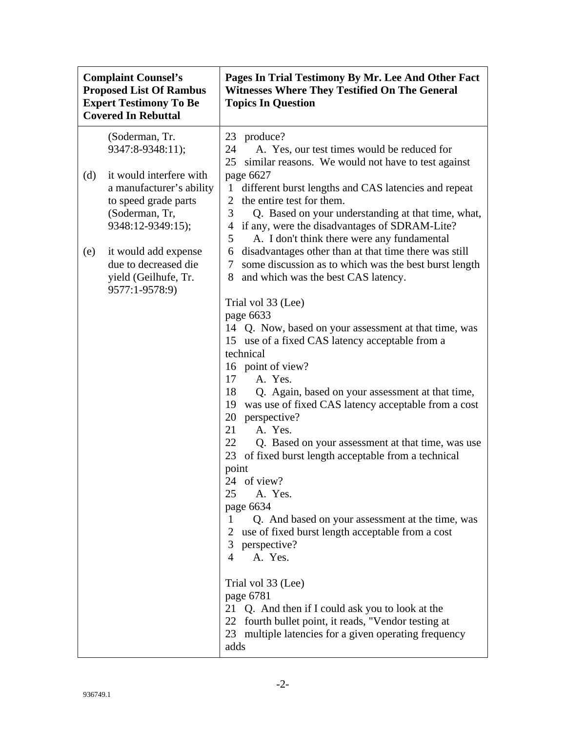| <b>Complaint Counsel's</b><br><b>Proposed List Of Rambus</b><br><b>Expert Testimony To Be</b><br><b>Covered In Rebuttal</b> |                                                                                                                    | Pages In Trial Testimony By Mr. Lee And Other Fact<br><b>Witnesses Where They Testified On The General</b><br><b>Topics In Question</b>                                                                                                                                                                                                                                                                                                                                                                                                                                                                                                                                                                                       |
|-----------------------------------------------------------------------------------------------------------------------------|--------------------------------------------------------------------------------------------------------------------|-------------------------------------------------------------------------------------------------------------------------------------------------------------------------------------------------------------------------------------------------------------------------------------------------------------------------------------------------------------------------------------------------------------------------------------------------------------------------------------------------------------------------------------------------------------------------------------------------------------------------------------------------------------------------------------------------------------------------------|
|                                                                                                                             | (Soderman, Tr.<br>9347:8-9348:11);                                                                                 | 23 produce?<br>24<br>A. Yes, our test times would be reduced for<br>25<br>similar reasons. We would not have to test against                                                                                                                                                                                                                                                                                                                                                                                                                                                                                                                                                                                                  |
| (d)                                                                                                                         | it would interfere with<br>a manufacturer's ability<br>to speed grade parts<br>(Soderman, Tr,<br>9348:12-9349:15); | page 6627<br>different burst lengths and CAS latencies and repeat<br>1<br>the entire test for them.<br>2<br>3<br>Q. Based on your understanding at that time, what,<br>if any, were the disadvantages of SDRAM-Lite?<br>4<br>A. I don't think there were any fundamental<br>5                                                                                                                                                                                                                                                                                                                                                                                                                                                 |
| (e)                                                                                                                         | it would add expense<br>due to decreased die<br>yield (Geilhufe, Tr.<br>9577:1-9578:9)                             | disadvantages other than at that time there was still<br>6<br>some discussion as to which was the best burst length<br>7<br>and which was the best CAS latency.<br>8                                                                                                                                                                                                                                                                                                                                                                                                                                                                                                                                                          |
|                                                                                                                             |                                                                                                                    | Trial vol 33 (Lee)<br>page 6633<br>14 Q. Now, based on your assessment at that time, was<br>15 use of a fixed CAS latency acceptable from a<br>technical<br>16 point of view?<br>A. Yes.<br>17<br>18<br>Q. Again, based on your assessment at that time,<br>was use of fixed CAS latency acceptable from a cost<br>19<br>perspective?<br>20<br>A. Yes.<br>21<br>22<br>Q. Based on your assessment at that time, was use<br>23<br>of fixed burst length acceptable from a technical<br>point<br>24 of view?<br>25<br>A. Yes.<br>page 6634<br>Q. And based on your assessment at the time, was<br>1<br>use of fixed burst length acceptable from a cost<br>3 <sup>1</sup><br>perspective?<br>A. Yes.<br>4<br>Trial vol 33 (Lee) |
|                                                                                                                             |                                                                                                                    | page 6781<br>21 Q. And then if I could ask you to look at the<br>22 fourth bullet point, it reads, "Vendor testing at<br>23 multiple latencies for a given operating frequency<br>adds                                                                                                                                                                                                                                                                                                                                                                                                                                                                                                                                        |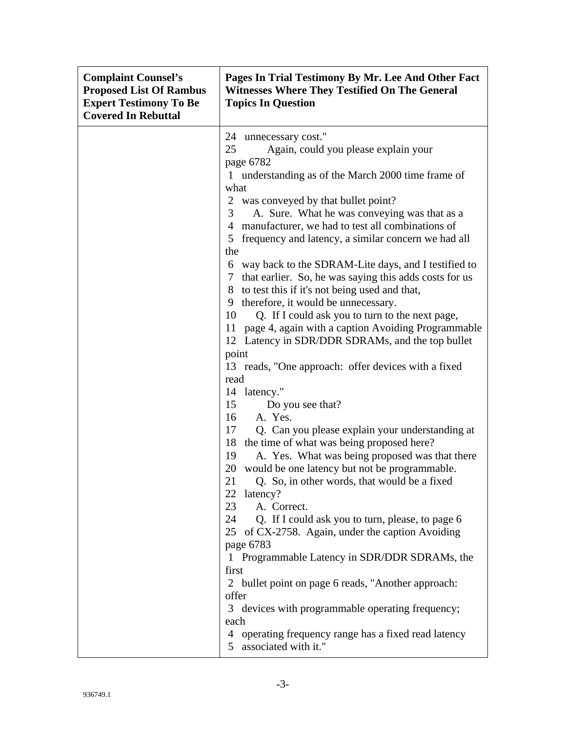| <b>Complaint Counsel's</b><br><b>Proposed List Of Rambus</b><br><b>Expert Testimony To Be</b><br><b>Covered In Rebuttal</b> | Pages In Trial Testimony By Mr. Lee And Other Fact<br><b>Witnesses Where They Testified On The General</b><br><b>Topics In Question</b>                                                                                                                                                                                                                                                                                                                                                                                                                                                                                                                                                                                                                                                                                                                                                                                                                                                                                                                                                                                                                                                                                                                                                                                                                                                                                                                              |
|-----------------------------------------------------------------------------------------------------------------------------|----------------------------------------------------------------------------------------------------------------------------------------------------------------------------------------------------------------------------------------------------------------------------------------------------------------------------------------------------------------------------------------------------------------------------------------------------------------------------------------------------------------------------------------------------------------------------------------------------------------------------------------------------------------------------------------------------------------------------------------------------------------------------------------------------------------------------------------------------------------------------------------------------------------------------------------------------------------------------------------------------------------------------------------------------------------------------------------------------------------------------------------------------------------------------------------------------------------------------------------------------------------------------------------------------------------------------------------------------------------------------------------------------------------------------------------------------------------------|
|                                                                                                                             | 24 unnecessary cost."<br>25<br>Again, could you please explain your<br>page 6782<br>1 understanding as of the March 2000 time frame of<br>what<br>2 was conveyed by that bullet point?<br>A. Sure. What he was conveying was that as a<br>3<br>manufacturer, we had to test all combinations of<br>4<br>5 frequency and latency, a similar concern we had all<br>the<br>6 way back to the SDRAM-Lite days, and I testified to<br>7 that earlier. So, he was saying this adds costs for us<br>8 to test this if it's not being used and that,<br>therefore, it would be unnecessary.<br>9<br>10<br>Q. If I could ask you to turn to the next page,<br>page 4, again with a caption Avoiding Programmable<br>11<br>12 Latency in SDR/DDR SDRAMs, and the top bullet<br>point<br>13 reads, "One approach: offer devices with a fixed<br>read<br>14 latency."<br>15<br>Do you see that?<br>A. Yes.<br>16<br>17<br>Q. Can you please explain your understanding at<br>18<br>the time of what was being proposed here?<br>A. Yes. What was being proposed was that there<br>19<br>would be one latency but not be programmable.<br>20<br>21<br>Q. So, in other words, that would be a fixed<br>22 latency?<br>23<br>A. Correct.<br>24<br>Q. If I could ask you to turn, please, to page 6<br>25 of CX-2758. Again, under the caption Avoiding<br>page 6783<br>1 Programmable Latency in SDR/DDR SDRAMs, the<br>first<br>2 bullet point on page 6 reads, "Another approach: |
|                                                                                                                             | offer<br>3 devices with programmable operating frequency;<br>each<br>4 operating frequency range has a fixed read latency<br>5 associated with it."                                                                                                                                                                                                                                                                                                                                                                                                                                                                                                                                                                                                                                                                                                                                                                                                                                                                                                                                                                                                                                                                                                                                                                                                                                                                                                                  |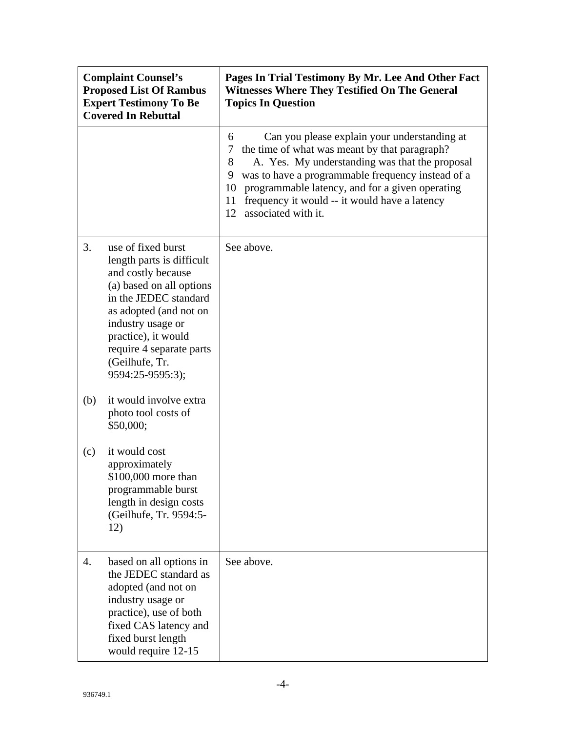| <b>Complaint Counsel's</b><br><b>Proposed List Of Rambus</b><br><b>Expert Testimony To Be</b><br><b>Covered In Rebuttal</b> |                                                                                                                                                                                                                                                                    | Pages In Trial Testimony By Mr. Lee And Other Fact<br><b>Witnesses Where They Testified On The General</b><br><b>Topics In Question</b>                                                                                                                                                                                                                               |
|-----------------------------------------------------------------------------------------------------------------------------|--------------------------------------------------------------------------------------------------------------------------------------------------------------------------------------------------------------------------------------------------------------------|-----------------------------------------------------------------------------------------------------------------------------------------------------------------------------------------------------------------------------------------------------------------------------------------------------------------------------------------------------------------------|
|                                                                                                                             |                                                                                                                                                                                                                                                                    | Can you please explain your understanding at<br>6<br>the time of what was meant by that paragraph?<br>7<br>A. Yes. My understanding was that the proposal<br>8<br>was to have a programmable frequency instead of a<br>9<br>programmable latency, and for a given operating<br>10<br>11<br>frequency it would -- it would have a latency<br>12<br>associated with it. |
| 3.                                                                                                                          | use of fixed burst<br>length parts is difficult<br>and costly because<br>(a) based on all options<br>in the JEDEC standard<br>as adopted (and not on<br>industry usage or<br>practice), it would<br>require 4 separate parts<br>(Geilhufe, Tr.<br>9594:25-9595:3); | See above.                                                                                                                                                                                                                                                                                                                                                            |
| (b)                                                                                                                         | it would involve extra<br>photo tool costs of<br>\$50,000;                                                                                                                                                                                                         |                                                                                                                                                                                                                                                                                                                                                                       |
| (c)                                                                                                                         | it would cost<br>approximately<br>\$100,000 more than<br>programmable burst<br>length in design costs<br>(Geilhufe, Tr. 9594:5-<br>12)                                                                                                                             |                                                                                                                                                                                                                                                                                                                                                                       |
| 4.                                                                                                                          | based on all options in<br>the JEDEC standard as<br>adopted (and not on<br>industry usage or<br>practice), use of both<br>fixed CAS latency and<br>fixed burst length<br>would require 12-15                                                                       | See above.                                                                                                                                                                                                                                                                                                                                                            |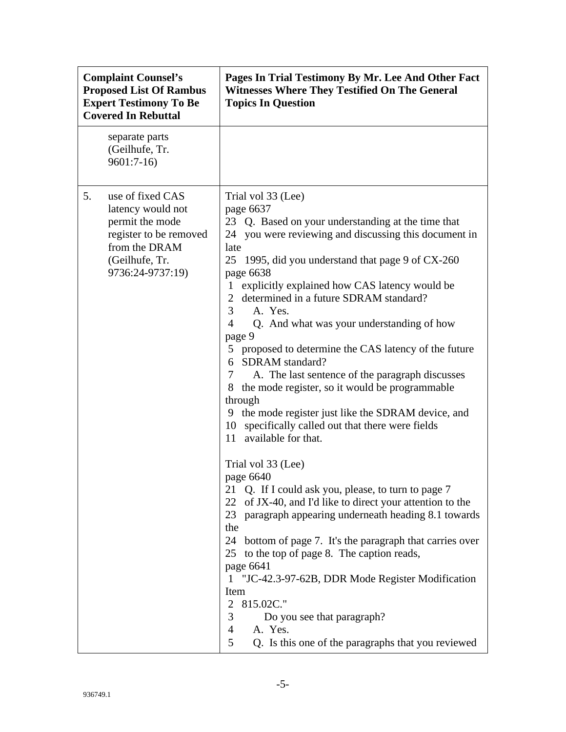| <b>Complaint Counsel's</b><br><b>Proposed List Of Rambus</b><br><b>Expert Testimony To Be</b><br><b>Covered In Rebuttal</b>                     | Pages In Trial Testimony By Mr. Lee And Other Fact<br><b>Witnesses Where They Testified On The General</b><br><b>Topics In Question</b>                                                                                                                                                                                                                                                                                                                                                                                                                                                                                                                                                                                                                                                                                                                                                                                                                                                                                                                                                                                                                                                                                                                                                                                          |
|-------------------------------------------------------------------------------------------------------------------------------------------------|----------------------------------------------------------------------------------------------------------------------------------------------------------------------------------------------------------------------------------------------------------------------------------------------------------------------------------------------------------------------------------------------------------------------------------------------------------------------------------------------------------------------------------------------------------------------------------------------------------------------------------------------------------------------------------------------------------------------------------------------------------------------------------------------------------------------------------------------------------------------------------------------------------------------------------------------------------------------------------------------------------------------------------------------------------------------------------------------------------------------------------------------------------------------------------------------------------------------------------------------------------------------------------------------------------------------------------|
| separate parts<br>(Geilhufe, Tr.<br>$9601:7-16$                                                                                                 |                                                                                                                                                                                                                                                                                                                                                                                                                                                                                                                                                                                                                                                                                                                                                                                                                                                                                                                                                                                                                                                                                                                                                                                                                                                                                                                                  |
| use of fixed CAS<br>5.<br>latency would not<br>permit the mode<br>register to be removed<br>from the DRAM<br>(Geilhufe, Tr.<br>9736:24-9737:19) | Trial vol 33 (Lee)<br>page 6637<br>23 Q. Based on your understanding at the time that<br>24 you were reviewing and discussing this document in<br>late<br>25 1995, did you understand that page 9 of CX-260<br>page 6638<br>1 explicitly explained how CAS latency would be<br>2 determined in a future SDRAM standard?<br>3<br>A. Yes.<br>Q. And what was your understanding of how<br>4<br>page 9<br>5 proposed to determine the CAS latency of the future<br>SDRAM standard?<br>6<br>$7\degree$<br>A. The last sentence of the paragraph discusses<br>8 the mode register, so it would be programmable<br>through<br>9 the mode register just like the SDRAM device, and<br>specifically called out that there were fields<br>10<br>available for that.<br>11<br>Trial vol 33 (Lee)<br>page 6640<br>Q. If I could ask you, please, to turn to page 7<br>21<br>22 of JX-40, and I'd like to direct your attention to the<br>23<br>paragraph appearing underneath heading 8.1 towards<br>the<br>24 bottom of page 7. It's the paragraph that carries over<br>25 to the top of page 8. The caption reads,<br>page 6641<br>1 "JC-42.3-97-62B, DDR Mode Register Modification<br>Item<br>$\overline{2}$<br>815.02C."<br>3<br>Do you see that paragraph?<br>A. Yes.<br>4<br>5<br>Q. Is this one of the paragraphs that you reviewed |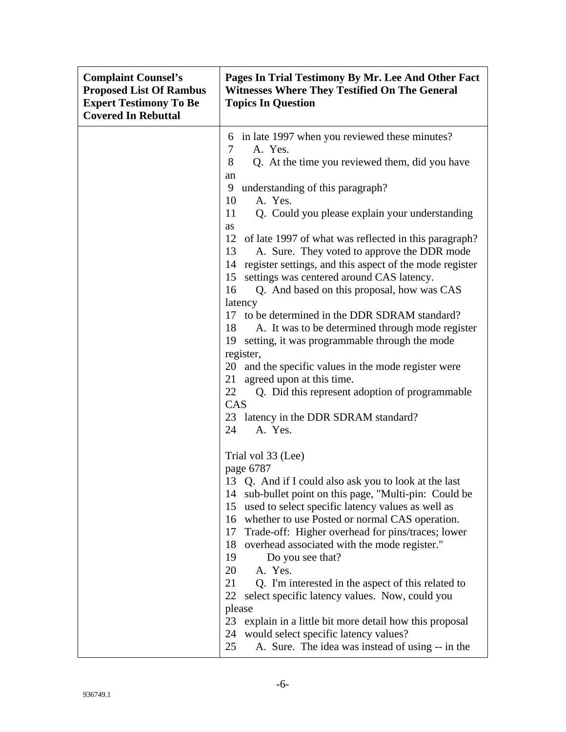| <b>Complaint Counsel's</b><br><b>Proposed List Of Rambus</b><br><b>Expert Testimony To Be</b><br><b>Covered In Rebuttal</b> | Pages In Trial Testimony By Mr. Lee And Other Fact<br><b>Witnesses Where They Testified On The General</b><br><b>Topics In Question</b>                                                                                                                                                                                                                                                                                                                                                                                                                                                                                                                                                                                                                  |
|-----------------------------------------------------------------------------------------------------------------------------|----------------------------------------------------------------------------------------------------------------------------------------------------------------------------------------------------------------------------------------------------------------------------------------------------------------------------------------------------------------------------------------------------------------------------------------------------------------------------------------------------------------------------------------------------------------------------------------------------------------------------------------------------------------------------------------------------------------------------------------------------------|
|                                                                                                                             | in late 1997 when you reviewed these minutes?<br>6<br>A. Yes.<br>7<br>8<br>Q. At the time you reviewed them, did you have                                                                                                                                                                                                                                                                                                                                                                                                                                                                                                                                                                                                                                |
|                                                                                                                             | an<br>understanding of this paragraph?<br>9<br>A. Yes.<br>10<br>11<br>Q. Could you please explain your understanding                                                                                                                                                                                                                                                                                                                                                                                                                                                                                                                                                                                                                                     |
|                                                                                                                             | as<br>12 of late 1997 of what was reflected in this paragraph?<br>A. Sure. They voted to approve the DDR mode<br>13<br>14 register settings, and this aspect of the mode register<br>settings was centered around CAS latency.<br>15<br>16<br>Q. And based on this proposal, how was CAS<br>latency<br>17 to be determined in the DDR SDRAM standard?<br>A. It was to be determined through mode register<br>18<br>19<br>setting, it was programmable through the mode<br>register,<br>20<br>and the specific values in the mode register were<br>21<br>agreed upon at this time.<br>Q. Did this represent adoption of programmable<br>22<br>CAS<br>23 latency in the DDR SDRAM standard?                                                                |
|                                                                                                                             | 24<br>A. Yes.<br>Trial vol 33 (Lee)<br>page 6787<br>13 Q. And if I could also ask you to look at the last<br>sub-bullet point on this page, "Multi-pin: Could be<br>14<br>used to select specific latency values as well as<br>15<br>16 whether to use Posted or normal CAS operation.<br>Trade-off: Higher overhead for pins/traces; lower<br>17<br>18<br>overhead associated with the mode register."<br>19<br>Do you see that?<br>20<br>A. Yes.<br>21<br>Q. I'm interested in the aspect of this related to<br>select specific latency values. Now, could you<br>22<br>please<br>23<br>explain in a little bit more detail how this proposal<br>would select specific latency values?<br>24<br>25<br>A. Sure. The idea was instead of using -- in the |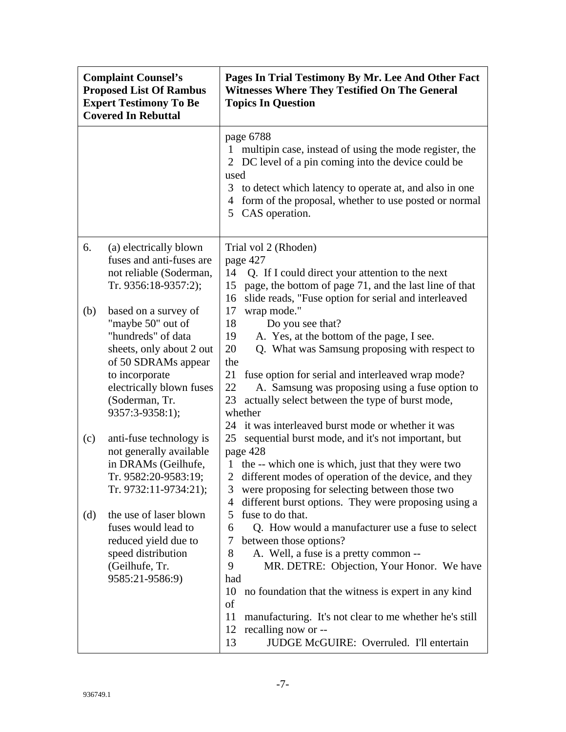| <b>Complaint Counsel's</b><br><b>Proposed List Of Rambus</b><br><b>Expert Testimony To Be</b><br><b>Covered In Rebuttal</b> |                                                                                                                                                                               | Pages In Trial Testimony By Mr. Lee And Other Fact<br><b>Witnesses Where They Testified On The General</b><br><b>Topics In Question</b>                                                                                                                                                                                                                                                                                                 |
|-----------------------------------------------------------------------------------------------------------------------------|-------------------------------------------------------------------------------------------------------------------------------------------------------------------------------|-----------------------------------------------------------------------------------------------------------------------------------------------------------------------------------------------------------------------------------------------------------------------------------------------------------------------------------------------------------------------------------------------------------------------------------------|
|                                                                                                                             |                                                                                                                                                                               | page 6788<br>multipin case, instead of using the mode register, the<br>2 DC level of a pin coming into the device could be<br>used<br>to detect which latency to operate at, and also in one<br>3<br>form of the proposal, whether to use posted or normal<br>4<br>CAS operation.<br>5                                                                                                                                                  |
| 6.<br>(b)                                                                                                                   | (a) electrically blown<br>fuses and anti-fuses are<br>not reliable (Soderman,<br>Tr. 9356:18-9357:2);<br>based on a survey of                                                 | Trial vol 2 (Rhoden)<br>page 427<br>14<br>Q. If I could direct your attention to the next<br>page, the bottom of page 71, and the last line of that<br>15<br>slide reads, "Fuse option for serial and interleaved<br>16<br>17<br>wrap mode."                                                                                                                                                                                            |
|                                                                                                                             | "maybe 50" out of<br>"hundreds" of data<br>sheets, only about 2 out<br>of 50 SDRAMs appear<br>to incorporate<br>electrically blown fuses<br>(Soderman, Tr.<br>9357:3-9358:1); | 18<br>Do you see that?<br>A. Yes, at the bottom of the page, I see.<br>19<br>Q. What was Samsung proposing with respect to<br>20<br>the<br>21<br>fuse option for serial and interleaved wrap mode?<br>22<br>A. Samsung was proposing using a fuse option to<br>actually select between the type of burst mode,<br>23<br>whether                                                                                                         |
| (c)                                                                                                                         | anti-fuse technology is<br>not generally available<br>in DRAMs (Geilhufe,<br>Tr. 9582:20-9583:19;<br>Tr. 9732:11-9734:21);                                                    | 24 it was interleaved burst mode or whether it was<br>25<br>sequential burst mode, and it's not important, but<br>page 428<br>the -- which one is which, just that they were two<br>1<br>different modes of operation of the device, and they<br>2<br>were proposing for selecting between those two<br>3<br>different burst options. They were proposing using a<br>4                                                                  |
| (d)                                                                                                                         | the use of laser blown<br>fuses would lead to<br>reduced yield due to<br>speed distribution<br>(Geilhufe, Tr.<br>9585:21-9586:9)                                              | fuse to do that.<br>5<br>Q. How would a manufacturer use a fuse to select<br>6<br>between those options?<br>7<br>A. Well, a fuse is a pretty common --<br>8<br>MR. DETRE: Objection, Your Honor. We have<br>9<br>had<br>10<br>no foundation that the witness is expert in any kind<br>of<br>manufacturing. It's not clear to me whether he's still<br>11<br>recalling now or --<br>12<br>JUDGE McGUIRE: Overruled. I'll entertain<br>13 |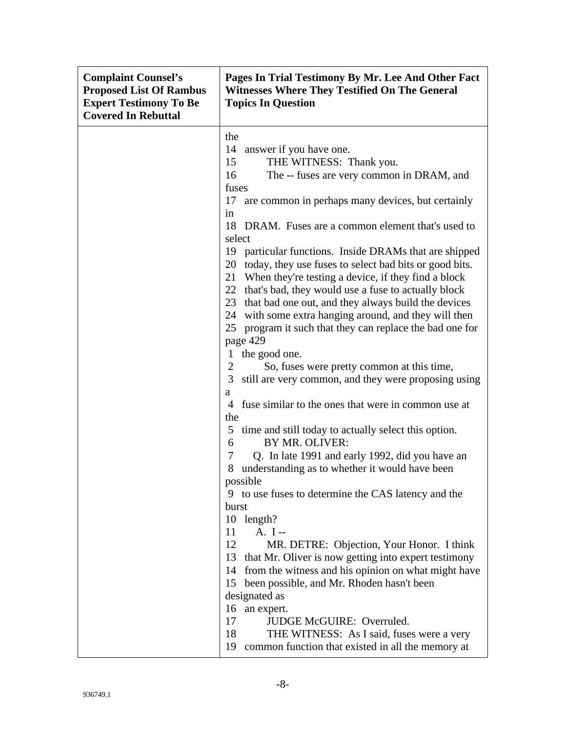| <b>Complaint Counsel's</b><br><b>Proposed List Of Rambus</b><br><b>Expert Testimony To Be</b><br><b>Covered In Rebuttal</b> | Pages In Trial Testimony By Mr. Lee And Other Fact<br><b>Witnesses Where They Testified On The General</b><br><b>Topics In Question</b> |
|-----------------------------------------------------------------------------------------------------------------------------|-----------------------------------------------------------------------------------------------------------------------------------------|
|                                                                                                                             | the                                                                                                                                     |
|                                                                                                                             | 14 answer if you have one.                                                                                                              |
|                                                                                                                             | THE WITNESS: Thank you.<br>15                                                                                                           |
|                                                                                                                             | The -- fuses are very common in DRAM, and<br>16                                                                                         |
|                                                                                                                             | fuses                                                                                                                                   |
|                                                                                                                             | 17 are common in perhaps many devices, but certainly                                                                                    |
|                                                                                                                             | in                                                                                                                                      |
|                                                                                                                             | 18 DRAM. Fuses are a common element that's used to                                                                                      |
|                                                                                                                             | select                                                                                                                                  |
|                                                                                                                             | 19 particular functions. Inside DRAMs that are shipped                                                                                  |
|                                                                                                                             | 20 today, they use fuses to select bad bits or good bits.                                                                               |
|                                                                                                                             | 21<br>When they're testing a device, if they find a block                                                                               |
|                                                                                                                             | 22 that's bad, they would use a fuse to actually block<br>23 that bad one out, and they always build the devices                        |
|                                                                                                                             | 24 with some extra hanging around, and they will then                                                                                   |
|                                                                                                                             | program it such that they can replace the bad one for<br>25                                                                             |
|                                                                                                                             | page 429                                                                                                                                |
|                                                                                                                             | the good one.<br>$\mathbf{1}$                                                                                                           |
|                                                                                                                             | $\overline{2}$<br>So, fuses were pretty common at this time,                                                                            |
|                                                                                                                             | still are very common, and they were proposing using<br>3                                                                               |
|                                                                                                                             | a                                                                                                                                       |
|                                                                                                                             | fuse similar to the ones that were in common use at<br>4                                                                                |
|                                                                                                                             | the                                                                                                                                     |
|                                                                                                                             | 5 time and still today to actually select this option.                                                                                  |
|                                                                                                                             | 6<br>BY MR. OLIVER:                                                                                                                     |
|                                                                                                                             | $\tau$<br>Q. In late 1991 and early 1992, did you have an                                                                               |
|                                                                                                                             | understanding as to whether it would have been<br>8                                                                                     |
|                                                                                                                             | possible                                                                                                                                |
|                                                                                                                             | 9 to use fuses to determine the CAS latency and the<br>burst                                                                            |
|                                                                                                                             | 10 length?                                                                                                                              |
|                                                                                                                             | A. I--<br>11                                                                                                                            |
|                                                                                                                             | 12<br>MR. DETRE: Objection, Your Honor. I think                                                                                         |
|                                                                                                                             | that Mr. Oliver is now getting into expert testimony<br>13                                                                              |
|                                                                                                                             | from the witness and his opinion on what might have<br>14                                                                               |
|                                                                                                                             | been possible, and Mr. Rhoden hasn't been<br>15                                                                                         |
|                                                                                                                             | designated as                                                                                                                           |
|                                                                                                                             | 16<br>an expert.                                                                                                                        |
|                                                                                                                             | JUDGE McGUIRE: Overruled.<br>17                                                                                                         |
|                                                                                                                             | 18<br>THE WITNESS: As I said, fuses were a very                                                                                         |
|                                                                                                                             | 19<br>common function that existed in all the memory at                                                                                 |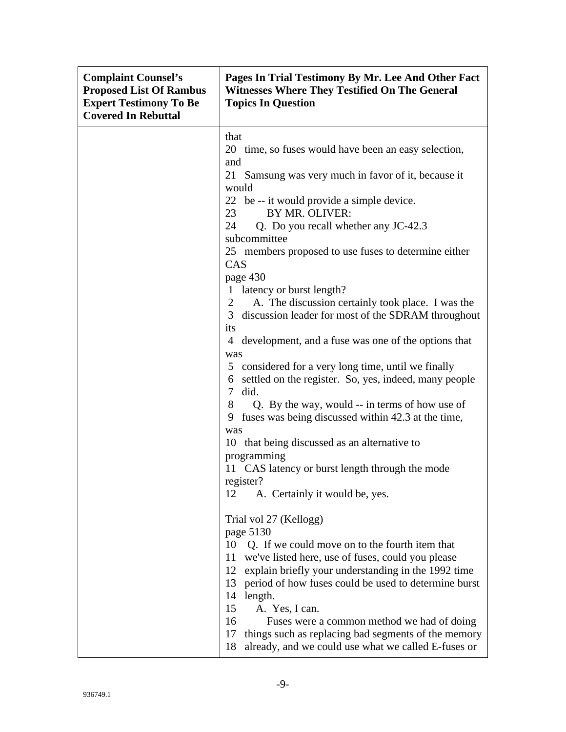| <b>Complaint Counsel's</b><br><b>Proposed List Of Rambus</b><br><b>Expert Testimony To Be</b><br><b>Covered In Rebuttal</b> | Pages In Trial Testimony By Mr. Lee And Other Fact<br><b>Witnesses Where They Testified On The General</b><br><b>Topics In Question</b>                                                                                                                                                                                                                                                                                                                                                                                                                                                                                                                                                                                                                                                                                                                                                                                               |
|-----------------------------------------------------------------------------------------------------------------------------|---------------------------------------------------------------------------------------------------------------------------------------------------------------------------------------------------------------------------------------------------------------------------------------------------------------------------------------------------------------------------------------------------------------------------------------------------------------------------------------------------------------------------------------------------------------------------------------------------------------------------------------------------------------------------------------------------------------------------------------------------------------------------------------------------------------------------------------------------------------------------------------------------------------------------------------|
|                                                                                                                             | that<br>20 time, so fuses would have been an easy selection,<br>and<br>21<br>Samsung was very much in favor of it, because it<br>would<br>22 be -- it would provide a simple device.<br>23<br>BY MR. OLIVER:<br>24<br>Q. Do you recall whether any JC-42.3<br>subcommittee<br>25 members proposed to use fuses to determine either<br>CAS<br>page 430<br>1 latency or burst length?<br>A. The discussion certainly took place. I was the<br>$\overline{2}$<br>discussion leader for most of the SDRAM throughout<br>3 <sup>1</sup><br>its<br>4 development, and a fuse was one of the options that<br>was<br>5 considered for a very long time, until we finally<br>6 settled on the register. So, yes, indeed, many people<br>$\tau$<br>did.<br>Q. By the way, would -- in terms of how use of<br>8<br>fuses was being discussed within 42.3 at the time,<br>9<br>was<br>10 that being discussed as an alternative to<br>programming |
|                                                                                                                             | 11 CAS latency or burst length through the mode<br>register?<br>12<br>A. Certainly it would be, yes.<br>Trial vol 27 (Kellogg)<br>page 5130<br>10<br>Q. If we could move on to the fourth item that<br>we've listed here, use of fuses, could you please<br>11<br>12<br>explain briefly your understanding in the 1992 time<br>period of how fuses could be used to determine burst<br>13<br>14<br>length.<br>15<br>A. Yes, I can.<br>16<br>Fuses were a common method we had of doing<br>17<br>things such as replacing bad segments of the memory<br>18<br>already, and we could use what we called E-fuses or                                                                                                                                                                                                                                                                                                                      |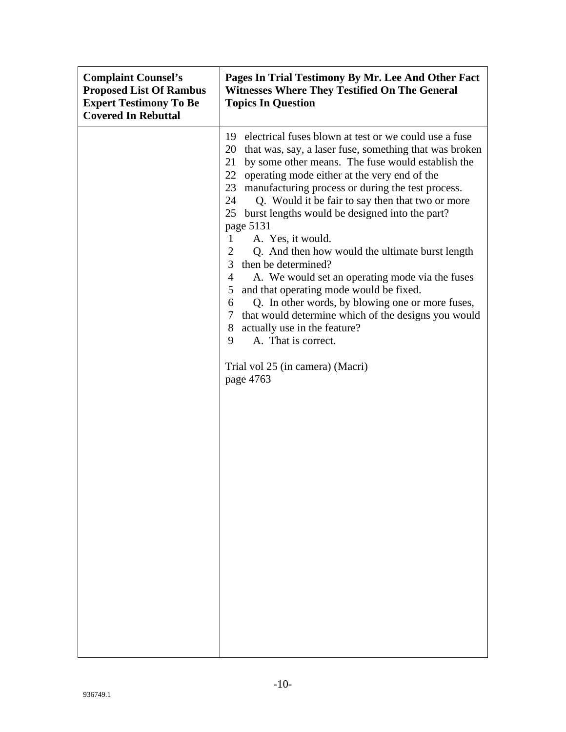| <b>Complaint Counsel's</b><br><b>Proposed List Of Rambus</b><br><b>Expert Testimony To Be</b><br><b>Covered In Rebuttal</b> | Pages In Trial Testimony By Mr. Lee And Other Fact<br><b>Witnesses Where They Testified On The General</b><br><b>Topics In Question</b>                                                                                                                                                                                                                                                                                                                                                                                                                                                                                                                                                                                                                                                                                                                                                                                 |
|-----------------------------------------------------------------------------------------------------------------------------|-------------------------------------------------------------------------------------------------------------------------------------------------------------------------------------------------------------------------------------------------------------------------------------------------------------------------------------------------------------------------------------------------------------------------------------------------------------------------------------------------------------------------------------------------------------------------------------------------------------------------------------------------------------------------------------------------------------------------------------------------------------------------------------------------------------------------------------------------------------------------------------------------------------------------|
|                                                                                                                             | 19 electrical fuses blown at test or we could use a fuse<br>that was, say, a laser fuse, something that was broken<br>20<br>21<br>by some other means. The fuse would establish the<br>22 operating mode either at the very end of the<br>23<br>manufacturing process or during the test process.<br>24<br>Q. Would it be fair to say then that two or more<br>burst lengths would be designed into the part?<br>25<br>page 5131<br>A. Yes, it would.<br>1<br>$\overline{c}$<br>Q. And then how would the ultimate burst length<br>3<br>then be determined?<br>$\overline{4}$<br>A. We would set an operating mode via the fuses<br>5<br>and that operating mode would be fixed.<br>Q. In other words, by blowing one or more fuses,<br>6<br>that would determine which of the designs you would<br>7<br>actually use in the feature?<br>8<br>9<br>A. That is correct.<br>Trial vol 25 (in camera) (Macri)<br>page 4763 |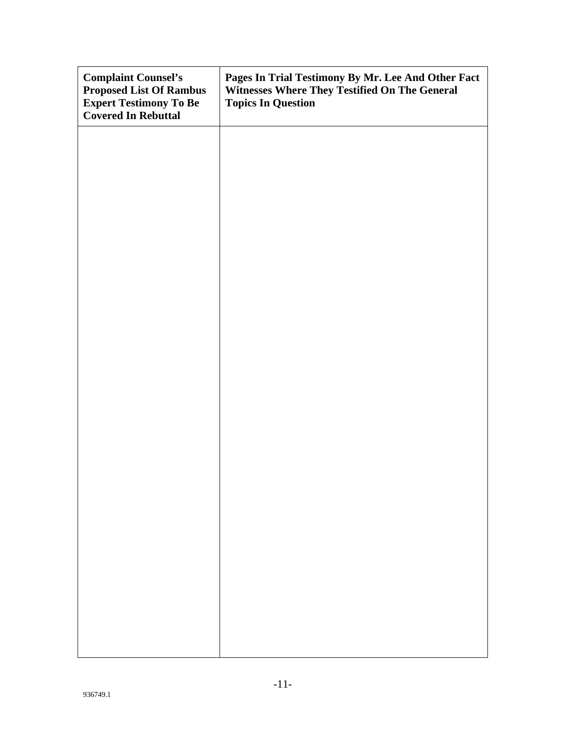| <b>Complaint Counsel's</b><br><b>Proposed List Of Rambus</b><br><b>Expert Testimony To Be</b><br><b>Covered In Rebuttal</b> | Pages In Trial Testimony By Mr. Lee And Other Fact<br>Witnesses Where They Testified On The General<br><b>Topics In Question</b> |
|-----------------------------------------------------------------------------------------------------------------------------|----------------------------------------------------------------------------------------------------------------------------------|
|                                                                                                                             |                                                                                                                                  |
|                                                                                                                             |                                                                                                                                  |
|                                                                                                                             |                                                                                                                                  |
|                                                                                                                             |                                                                                                                                  |
|                                                                                                                             |                                                                                                                                  |
|                                                                                                                             |                                                                                                                                  |
|                                                                                                                             |                                                                                                                                  |
|                                                                                                                             |                                                                                                                                  |
|                                                                                                                             |                                                                                                                                  |
|                                                                                                                             |                                                                                                                                  |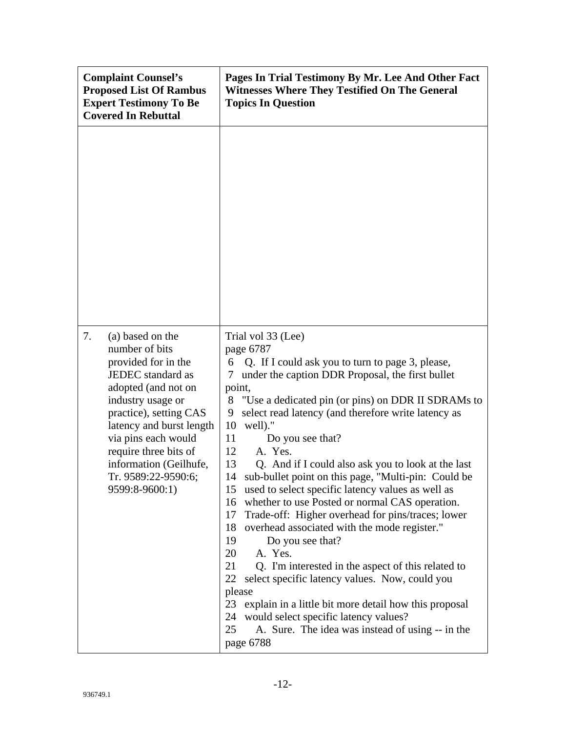| <b>Complaint Counsel's</b><br><b>Proposed List Of Rambus</b><br><b>Expert Testimony To Be</b><br><b>Covered In Rebuttal</b>                                                                                                                                                                               | Pages In Trial Testimony By Mr. Lee And Other Fact<br><b>Witnesses Where They Testified On The General</b><br><b>Topics In Question</b>                                                                                                                                                                                                                                                                                                                                                                                                                                                                                                                                                                                                                                                                                                                                                                                                                                                                                                                                   |
|-----------------------------------------------------------------------------------------------------------------------------------------------------------------------------------------------------------------------------------------------------------------------------------------------------------|---------------------------------------------------------------------------------------------------------------------------------------------------------------------------------------------------------------------------------------------------------------------------------------------------------------------------------------------------------------------------------------------------------------------------------------------------------------------------------------------------------------------------------------------------------------------------------------------------------------------------------------------------------------------------------------------------------------------------------------------------------------------------------------------------------------------------------------------------------------------------------------------------------------------------------------------------------------------------------------------------------------------------------------------------------------------------|
|                                                                                                                                                                                                                                                                                                           |                                                                                                                                                                                                                                                                                                                                                                                                                                                                                                                                                                                                                                                                                                                                                                                                                                                                                                                                                                                                                                                                           |
| 7.<br>(a) based on the<br>number of bits<br>provided for in the<br>JEDEC standard as<br>adopted (and not on<br>industry usage or<br>practice), setting CAS<br>latency and burst length<br>via pins each would<br>require three bits of<br>information (Geilhufe,<br>Tr. 9589:22-9590:6;<br>9599:8-9600:1) | Trial vol 33 (Lee)<br>page 6787<br>Q. If I could ask you to turn to page 3, please,<br>6<br>under the caption DDR Proposal, the first bullet<br>7<br>point,<br>"Use a dedicated pin (or pins) on DDR II SDRAMs to<br>8<br>select read latency (and therefore write latency as<br>9<br>10<br>well)."<br>11<br>Do you see that?<br>12<br>A. Yes.<br>13<br>Q. And if I could also ask you to look at the last<br>sub-bullet point on this page, "Multi-pin: Could be<br>14<br>used to select specific latency values as well as<br>15<br>whether to use Posted or normal CAS operation.<br>16<br>Trade-off: Higher overhead for pins/traces; lower<br>17<br>overhead associated with the mode register."<br>18<br>19<br>Do you see that?<br>20<br>A. Yes.<br>21<br>Q. I'm interested in the aspect of this related to<br>22<br>select specific latency values. Now, could you<br>please<br>23<br>explain in a little bit more detail how this proposal<br>would select specific latency values?<br>24<br>25<br>A. Sure. The idea was instead of using -- in the<br>page 6788 |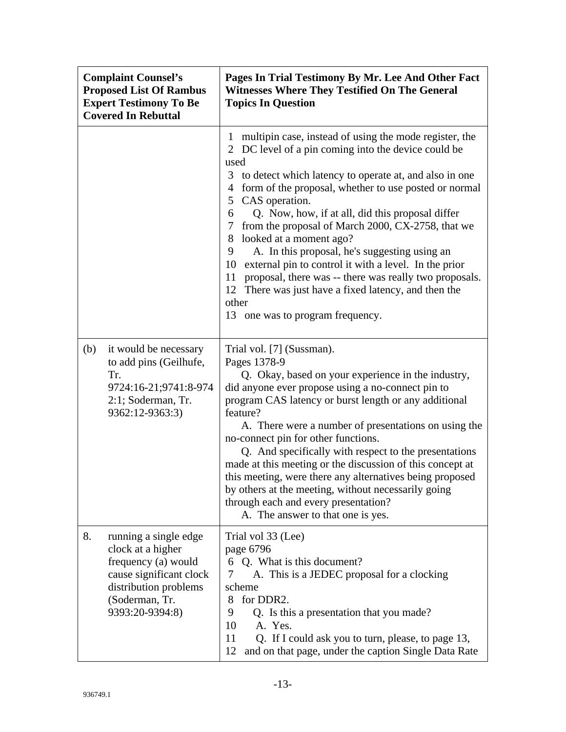| <b>Complaint Counsel's</b><br><b>Proposed List Of Rambus</b><br><b>Expert Testimony To Be</b><br><b>Covered In Rebuttal</b> |                                                                                                                                                            | Pages In Trial Testimony By Mr. Lee And Other Fact<br><b>Witnesses Where They Testified On The General</b><br><b>Topics In Question</b>                                                                                                                                                                                                                                                                                                                                                                                                                                                                                                                                                                                  |
|-----------------------------------------------------------------------------------------------------------------------------|------------------------------------------------------------------------------------------------------------------------------------------------------------|--------------------------------------------------------------------------------------------------------------------------------------------------------------------------------------------------------------------------------------------------------------------------------------------------------------------------------------------------------------------------------------------------------------------------------------------------------------------------------------------------------------------------------------------------------------------------------------------------------------------------------------------------------------------------------------------------------------------------|
|                                                                                                                             |                                                                                                                                                            | multipin case, instead of using the mode register, the<br>1<br>2 DC level of a pin coming into the device could be<br>used<br>3 to detect which latency to operate at, and also in one<br>form of the proposal, whether to use posted or normal<br>4<br>CAS operation.<br>5<br>Q. Now, how, if at all, did this proposal differ<br>6<br>from the proposal of March 2000, CX-2758, that we<br>7<br>looked at a moment ago?<br>8<br>A. In this proposal, he's suggesting using an<br>9<br>10<br>external pin to control it with a level. In the prior<br>proposal, there was -- there was really two proposals.<br>11<br>12 There was just have a fixed latency, and then the<br>other<br>13 one was to program frequency. |
| (b)                                                                                                                         | it would be necessary<br>to add pins (Geilhufe,<br>Tr.<br>9724:16-21;9741:8-974<br>2:1; Soderman, Tr.<br>9362:12-9363:3)                                   | Trial vol. [7] (Sussman).<br>Pages 1378-9<br>Q. Okay, based on your experience in the industry,<br>did anyone ever propose using a no-connect pin to<br>program CAS latency or burst length or any additional<br>feature?<br>A. There were a number of presentations on using the<br>no-connect pin for other functions.<br>Q. And specifically with respect to the presentations<br>made at this meeting or the discussion of this concept at<br>this meeting, were there any alternatives being proposed<br>by others at the meeting, without necessarily going<br>through each and every presentation?<br>A. The answer to that one is yes.                                                                           |
| 8.                                                                                                                          | running a single edge<br>clock at a higher<br>frequency (a) would<br>cause significant clock<br>distribution problems<br>(Soderman, Tr.<br>9393:20-9394:8) | Trial vol 33 (Lee)<br>page 6796<br>6 Q. What is this document?<br>A. This is a JEDEC proposal for a clocking<br>7<br>scheme<br>for DDR2.<br>8<br>Q. Is this a presentation that you made?<br>9<br>10<br>A. Yes.<br>11<br>Q. If I could ask you to turn, please, to page 13,<br>12<br>and on that page, under the caption Single Data Rate                                                                                                                                                                                                                                                                                                                                                                                |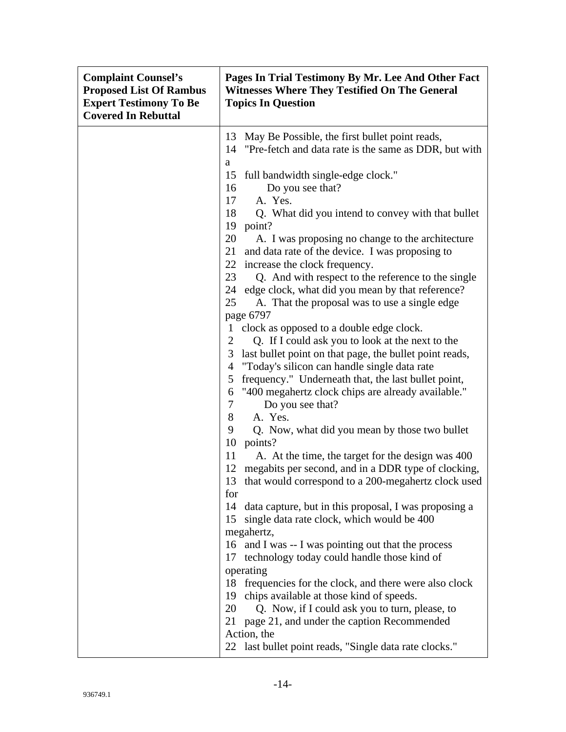| <b>Complaint Counsel's</b><br><b>Proposed List Of Rambus</b><br><b>Expert Testimony To Be</b><br><b>Covered In Rebuttal</b> | Pages In Trial Testimony By Mr. Lee And Other Fact<br><b>Witnesses Where They Testified On The General</b><br><b>Topics In Question</b>                                                                                                                                                                                                                                                                                                                                                                                                                                                                                                                                                                                                                                                                                                                                                                                                                                                                                                                                                                                                                                                                                                                                                                                                                                                                                                                                                                                                                            |
|-----------------------------------------------------------------------------------------------------------------------------|--------------------------------------------------------------------------------------------------------------------------------------------------------------------------------------------------------------------------------------------------------------------------------------------------------------------------------------------------------------------------------------------------------------------------------------------------------------------------------------------------------------------------------------------------------------------------------------------------------------------------------------------------------------------------------------------------------------------------------------------------------------------------------------------------------------------------------------------------------------------------------------------------------------------------------------------------------------------------------------------------------------------------------------------------------------------------------------------------------------------------------------------------------------------------------------------------------------------------------------------------------------------------------------------------------------------------------------------------------------------------------------------------------------------------------------------------------------------------------------------------------------------------------------------------------------------|
|                                                                                                                             | 13<br>May Be Possible, the first bullet point reads,<br>"Pre-fetch and data rate is the same as DDR, but with<br>14                                                                                                                                                                                                                                                                                                                                                                                                                                                                                                                                                                                                                                                                                                                                                                                                                                                                                                                                                                                                                                                                                                                                                                                                                                                                                                                                                                                                                                                |
|                                                                                                                             | a<br>full bandwidth single-edge clock."<br>15<br>16<br>Do you see that?<br>17<br>A. Yes.<br>18<br>Q. What did you intend to convey with that bullet<br>19<br>point?<br>20<br>A. I was proposing no change to the architecture<br>and data rate of the device. I was proposing to<br>21<br>22 increase the clock frequency.<br>23<br>Q. And with respect to the reference to the single<br>edge clock, what did you mean by that reference?<br>24<br>A. That the proposal was to use a single edge<br>25<br>page 6797<br>clock as opposed to a double edge clock.<br>$\mathbf{1}$<br>Q. If I could ask you to look at the next to the<br>2<br>3<br>last bullet point on that page, the bullet point reads,<br>"Today's silicon can handle single data rate<br>4<br>frequency." Underneath that, the last bullet point,<br>5<br>"400 megahertz clock chips are already available."<br>6<br>7<br>Do you see that?<br>8<br>A. Yes.<br>9<br>Q. Now, what did you mean by those two bullet<br>10<br>points?<br>11<br>A. At the time, the target for the design was 400<br>12 megabits per second, and in a DDR type of clocking,<br>13 that would correspond to a 200-megahertz clock used<br>for<br>data capture, but in this proposal, I was proposing a<br>14<br>15 single data rate clock, which would be 400<br>megahertz,<br>16 and I was -- I was pointing out that the process<br>technology today could handle those kind of<br>17<br>operating<br>frequencies for the clock, and there were also clock<br>18<br>chips available at those kind of speeds.<br>19 |
|                                                                                                                             | 20<br>Q. Now, if I could ask you to turn, please, to<br>page 21, and under the caption Recommended<br>21<br>Action, the<br>last bullet point reads, "Single data rate clocks."<br>22                                                                                                                                                                                                                                                                                                                                                                                                                                                                                                                                                                                                                                                                                                                                                                                                                                                                                                                                                                                                                                                                                                                                                                                                                                                                                                                                                                               |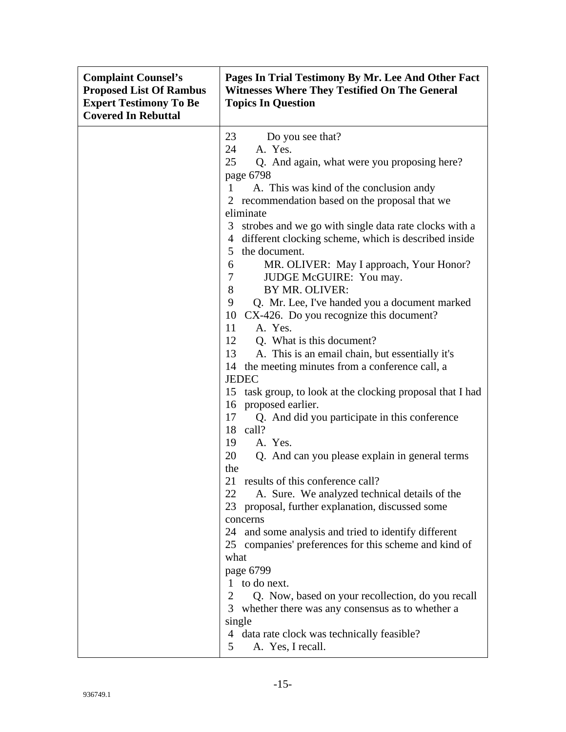| <b>Complaint Counsel's</b><br><b>Proposed List Of Rambus</b><br><b>Expert Testimony To Be</b><br><b>Covered In Rebuttal</b> | Pages In Trial Testimony By Mr. Lee And Other Fact<br><b>Witnesses Where They Testified On The General</b><br><b>Topics In Question</b>                                                                                                                                                                                                                                                                                                                                                                                                                                                                                                                                                                                                                                                                                                                                                                                                                                                                                                                                                                                                                                                                                                                                                                                                                                                                                                                                                                                                              |
|-----------------------------------------------------------------------------------------------------------------------------|------------------------------------------------------------------------------------------------------------------------------------------------------------------------------------------------------------------------------------------------------------------------------------------------------------------------------------------------------------------------------------------------------------------------------------------------------------------------------------------------------------------------------------------------------------------------------------------------------------------------------------------------------------------------------------------------------------------------------------------------------------------------------------------------------------------------------------------------------------------------------------------------------------------------------------------------------------------------------------------------------------------------------------------------------------------------------------------------------------------------------------------------------------------------------------------------------------------------------------------------------------------------------------------------------------------------------------------------------------------------------------------------------------------------------------------------------------------------------------------------------------------------------------------------------|
|                                                                                                                             | 23<br>Do you see that?<br>A. Yes.<br>24<br>25<br>Q. And again, what were you proposing here?<br>page 6798<br>$\mathbf{1}$<br>A. This was kind of the conclusion andy<br>2 recommendation based on the proposal that we<br>eliminate<br>3 strobes and we go with single data rate clocks with a<br>different clocking scheme, which is described inside<br>4<br>the document.<br>5 <sup>1</sup><br>MR. OLIVER: May I approach, Your Honor?<br>6<br>JUDGE McGUIRE: You may.<br>$\tau$<br>8<br>BY MR. OLIVER:<br>9<br>Q. Mr. Lee, I've handed you a document marked<br>10<br>CX-426. Do you recognize this document?<br>A. Yes.<br>11<br>12 Q. What is this document?<br>13<br>A. This is an email chain, but essentially it's<br>the meeting minutes from a conference call, a<br>14<br><b>JEDEC</b><br>15 task group, to look at the clocking proposal that I had<br>16<br>proposed earlier.<br>Q. And did you participate in this conference<br>17<br>18 call?<br>A. Yes.<br>19<br>20<br>Q. And can you please explain in general terms<br>the<br>21 results of this conference call?<br>A. Sure. We analyzed technical details of the<br>22<br>proposal, further explanation, discussed some<br>23<br>concerns<br>24 and some analysis and tried to identify different<br>25 companies' preferences for this scheme and kind of<br>what<br>page 6799<br>to do next.<br>1<br>2<br>Q. Now, based on your recollection, do you recall<br>3<br>whether there was any consensus as to whether a<br>single<br>4 data rate clock was technically feasible? |
|                                                                                                                             | A. Yes, I recall.<br>5                                                                                                                                                                                                                                                                                                                                                                                                                                                                                                                                                                                                                                                                                                                                                                                                                                                                                                                                                                                                                                                                                                                                                                                                                                                                                                                                                                                                                                                                                                                               |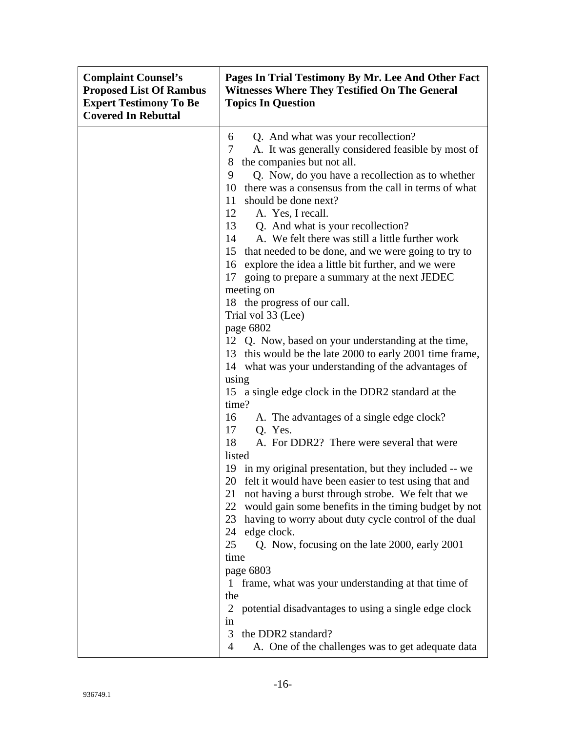| <b>Complaint Counsel's</b><br><b>Proposed List Of Rambus</b><br><b>Expert Testimony To Be</b><br><b>Covered In Rebuttal</b> | Pages In Trial Testimony By Mr. Lee And Other Fact<br><b>Witnesses Where They Testified On The General</b><br><b>Topics In Question</b>                                                                                                                                                                                                                                                                                                                                                                                                                                                                                                                                                                                                                                                                                                                                                                                                                                                                                                                                                                                                                                                                                                                                                                                                                                                                                                                                                                                                                                                                                |
|-----------------------------------------------------------------------------------------------------------------------------|------------------------------------------------------------------------------------------------------------------------------------------------------------------------------------------------------------------------------------------------------------------------------------------------------------------------------------------------------------------------------------------------------------------------------------------------------------------------------------------------------------------------------------------------------------------------------------------------------------------------------------------------------------------------------------------------------------------------------------------------------------------------------------------------------------------------------------------------------------------------------------------------------------------------------------------------------------------------------------------------------------------------------------------------------------------------------------------------------------------------------------------------------------------------------------------------------------------------------------------------------------------------------------------------------------------------------------------------------------------------------------------------------------------------------------------------------------------------------------------------------------------------------------------------------------------------------------------------------------------------|
|                                                                                                                             | Q. And what was your recollection?<br>6<br>A. It was generally considered feasible by most of<br>7<br>the companies but not all.<br>8<br>9<br>Q. Now, do you have a recollection as to whether<br>10<br>there was a consensus from the call in terms of what<br>11<br>should be done next?<br>12<br>A. Yes, I recall.<br>13<br>Q. And what is your recollection?<br>A. We felt there was still a little further work<br>14<br>15 that needed to be done, and we were going to try to<br>16 explore the idea a little bit further, and we were<br>going to prepare a summary at the next JEDEC<br>17<br>meeting on<br>18 the progress of our call.<br>Trial vol 33 (Lee)<br>page 6802<br>12 Q. Now, based on your understanding at the time,<br>13 this would be the late 2000 to early 2001 time frame,<br>14 what was your understanding of the advantages of<br>using<br>15 a single edge clock in the DDR2 standard at the<br>time?<br>A. The advantages of a single edge clock?<br>16<br>17<br>Q. Yes.<br>18<br>A. For DDR2? There were several that were<br>listed<br>19 in my original presentation, but they included -- we<br>20 felt it would have been easier to test using that and<br>not having a burst through strobe. We felt that we<br>21<br>22<br>would gain some benefits in the timing budget by not<br>23<br>having to worry about duty cycle control of the dual<br>edge clock.<br>24<br>25<br>Q. Now, focusing on the late 2000, early 2001<br>time<br>page 6803<br>1 frame, what was your understanding at that time of<br>the<br>2 potential disadvantages to using a single edge clock<br>in |
|                                                                                                                             | the DDR2 standard?<br>3<br>A. One of the challenges was to get adequate data<br>4                                                                                                                                                                                                                                                                                                                                                                                                                                                                                                                                                                                                                                                                                                                                                                                                                                                                                                                                                                                                                                                                                                                                                                                                                                                                                                                                                                                                                                                                                                                                      |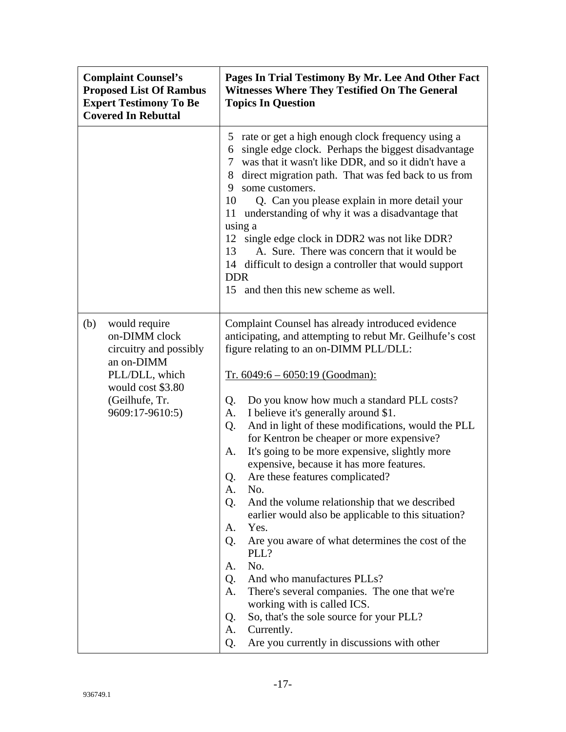| <b>Complaint Counsel's</b><br><b>Proposed List Of Rambus</b><br><b>Expert Testimony To Be</b><br><b>Covered In Rebuttal</b>                               | Pages In Trial Testimony By Mr. Lee And Other Fact<br><b>Witnesses Where They Testified On The General</b><br><b>Topics In Question</b>                                                                                                                                                                                                                                                                                                                                                                                                                                                                                                                                                                                                                                                                                                                                                                                                                                                                                            |
|-----------------------------------------------------------------------------------------------------------------------------------------------------------|------------------------------------------------------------------------------------------------------------------------------------------------------------------------------------------------------------------------------------------------------------------------------------------------------------------------------------------------------------------------------------------------------------------------------------------------------------------------------------------------------------------------------------------------------------------------------------------------------------------------------------------------------------------------------------------------------------------------------------------------------------------------------------------------------------------------------------------------------------------------------------------------------------------------------------------------------------------------------------------------------------------------------------|
|                                                                                                                                                           | rate or get a high enough clock frequency using a<br>5<br>single edge clock. Perhaps the biggest disadvantage<br>6<br>was that it wasn't like DDR, and so it didn't have a<br>7<br>direct migration path. That was fed back to us from<br>8<br>9<br>some customers.<br>10<br>Q. Can you please explain in more detail your<br>understanding of why it was a disadvantage that<br>11<br>using a<br>12<br>single edge clock in DDR2 was not like DDR?<br>A. Sure. There was concern that it would be<br>13<br>14 difficult to design a controller that would support<br><b>DDR</b><br>and then this new scheme as well.<br>15                                                                                                                                                                                                                                                                                                                                                                                                        |
| would require<br>(b)<br>on-DIMM clock<br>circuitry and possibly<br>an on-DIMM<br>PLL/DLL, which<br>would cost \$3.80<br>(Geilhufe, Tr.<br>9609:17-9610:5) | Complaint Counsel has already introduced evidence<br>anticipating, and attempting to rebut Mr. Geilhufe's cost<br>figure relating to an on-DIMM PLL/DLL:<br>$Tr. 6049:6 - 6050:19$ (Goodman):<br>Do you know how much a standard PLL costs?<br>Q.<br>I believe it's generally around \$1.<br>A.<br>And in light of these modifications, would the PLL<br>Q.<br>for Kentron be cheaper or more expensive?<br>It's going to be more expensive, slightly more<br>A.<br>expensive, because it has more features.<br>Are these features complicated?<br>Q.<br>No.<br>A.<br>And the volume relationship that we described<br>Q.<br>earlier would also be applicable to this situation?<br>Yes.<br>A.<br>Are you aware of what determines the cost of the<br>Q.<br>PLL?<br>No.<br>A.<br>And who manufactures PLLs?<br>Q.<br>A.<br>There's several companies. The one that we're<br>working with is called ICS.<br>So, that's the sole source for your PLL?<br>Q.<br>A.<br>Currently.<br>Are you currently in discussions with other<br>Q. |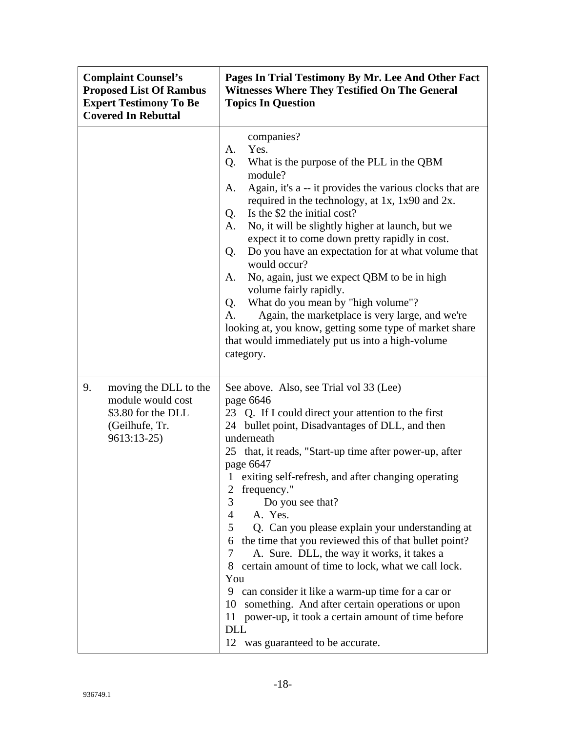| <b>Complaint Counsel's</b><br><b>Proposed List Of Rambus</b><br><b>Expert Testimony To Be</b><br><b>Covered In Rebuttal</b> | Pages In Trial Testimony By Mr. Lee And Other Fact<br><b>Witnesses Where They Testified On The General</b><br><b>Topics In Question</b>                                                                                                                                                                                                                                                                                                                                                                                                                                                                                                                                                                                                                                                                                                       |
|-----------------------------------------------------------------------------------------------------------------------------|-----------------------------------------------------------------------------------------------------------------------------------------------------------------------------------------------------------------------------------------------------------------------------------------------------------------------------------------------------------------------------------------------------------------------------------------------------------------------------------------------------------------------------------------------------------------------------------------------------------------------------------------------------------------------------------------------------------------------------------------------------------------------------------------------------------------------------------------------|
|                                                                                                                             | companies?<br>Yes.<br>A.<br>What is the purpose of the PLL in the QBM<br>Q.<br>module?<br>Again, it's a -- it provides the various clocks that are<br>A.<br>required in the technology, at 1x, 1x90 and 2x.<br>Is the \$2 the initial cost?<br>Q.<br>No, it will be slightly higher at launch, but we<br>А.<br>expect it to come down pretty rapidly in cost.<br>Do you have an expectation for at what volume that<br>Q.<br>would occur?<br>No, again, just we expect QBM to be in high<br>A.<br>volume fairly rapidly.<br>What do you mean by "high volume"?<br>Q.<br>Again, the marketplace is very large, and we're<br>A.<br>looking at, you know, getting some type of market share<br>that would immediately put us into a high-volume<br>category.                                                                                     |
| 9.<br>moving the DLL to the<br>module would cost<br>\$3.80 for the DLL<br>(Geilhufe, Tr.<br>9613:13-25)                     | See above. Also, see Trial vol 33 (Lee)<br>page 6646<br>23 Q. If I could direct your attention to the first<br>24 bullet point, Disadvantages of DLL, and then<br>underneath<br>25 that, it reads, "Start-up time after power-up, after<br>page 6647<br>exiting self-refresh, and after changing operating<br>frequency."<br>3<br>Do you see that?<br>A. Yes.<br>4<br>5<br>Q. Can you please explain your understanding at<br>the time that you reviewed this of that bullet point?<br>6<br>A. Sure. DLL, the way it works, it takes a<br>7<br>certain amount of time to lock, what we call lock.<br>8<br>You<br>can consider it like a warm-up time for a car or<br>9<br>something. And after certain operations or upon<br>10<br>power-up, it took a certain amount of time before<br>11<br><b>DLL</b><br>12 was guaranteed to be accurate. |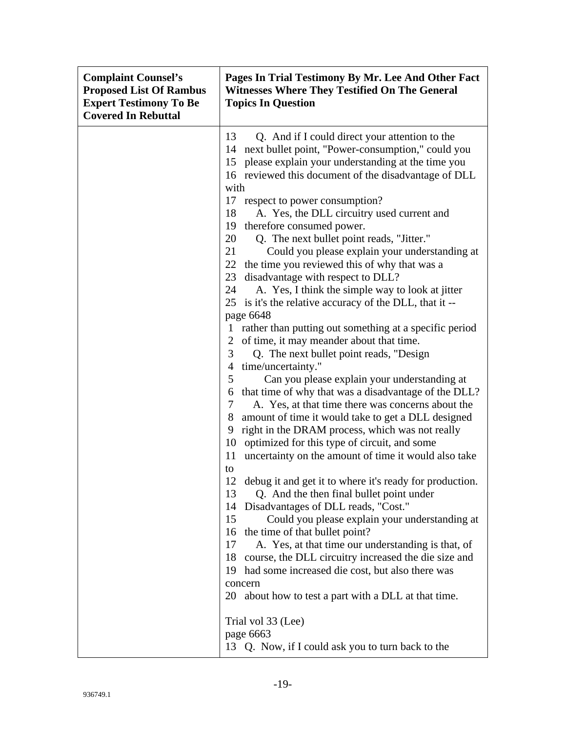| <b>Complaint Counsel's</b><br><b>Proposed List Of Rambus</b><br><b>Expert Testimony To Be</b><br><b>Covered In Rebuttal</b> | Pages In Trial Testimony By Mr. Lee And Other Fact<br><b>Witnesses Where They Testified On The General</b><br><b>Topics In Question</b>                                                                                                                                                                                                                                                                                                                                                                                                                                                                                                                                                                                                                                                                                                                                                                                                                                                                                                                                                                                                                                                                                                                                                                                                                                                                                                                                                         |
|-----------------------------------------------------------------------------------------------------------------------------|-------------------------------------------------------------------------------------------------------------------------------------------------------------------------------------------------------------------------------------------------------------------------------------------------------------------------------------------------------------------------------------------------------------------------------------------------------------------------------------------------------------------------------------------------------------------------------------------------------------------------------------------------------------------------------------------------------------------------------------------------------------------------------------------------------------------------------------------------------------------------------------------------------------------------------------------------------------------------------------------------------------------------------------------------------------------------------------------------------------------------------------------------------------------------------------------------------------------------------------------------------------------------------------------------------------------------------------------------------------------------------------------------------------------------------------------------------------------------------------------------|
|                                                                                                                             | 13<br>Q. And if I could direct your attention to the<br>next bullet point, "Power-consumption," could you<br>14<br>please explain your understanding at the time you<br>15<br>16 reviewed this document of the disadvantage of DLL                                                                                                                                                                                                                                                                                                                                                                                                                                                                                                                                                                                                                                                                                                                                                                                                                                                                                                                                                                                                                                                                                                                                                                                                                                                              |
|                                                                                                                             | with<br>17 respect to power consumption?<br>18<br>A. Yes, the DLL circuitry used current and<br>therefore consumed power.<br>19<br>20<br>Q. The next bullet point reads, "Jitter."<br>21<br>Could you please explain your understanding at<br>22 the time you reviewed this of why that was a<br>23<br>disadvantage with respect to DLL?<br>A. Yes, I think the simple way to look at jitter<br>24<br>is it's the relative accuracy of the DLL, that it --<br>25<br>page 6648<br>rather than putting out something at a specific period<br>$\Gamma$<br>of time, it may meander about that time.<br>2<br>3<br>Q. The next bullet point reads, "Design<br>time/uncertainty."<br>4<br>5<br>Can you please explain your understanding at<br>that time of why that was a disadvantage of the DLL?<br>6<br>A. Yes, at that time there was concerns about the<br>7<br>8<br>amount of time it would take to get a DLL designed<br>right in the DRAM process, which was not really<br>9<br>10<br>optimized for this type of circuit, and some<br>uncertainty on the amount of time it would also take<br>11<br>to<br>12 debug it and get it to where it's ready for production.<br>Q. And the then final bullet point under<br>13<br>Disadvantages of DLL reads, "Cost."<br>14<br>15<br>Could you please explain your understanding at<br>the time of that bullet point?<br>16<br>17<br>A. Yes, at that time our understanding is that, of<br>18<br>course, the DLL circuitry increased the die size and |
|                                                                                                                             | had some increased die cost, but also there was<br>19<br>concern<br>20<br>about how to test a part with a DLL at that time.<br>Trial vol 33 (Lee)<br>page 6663<br>13 Q. Now, if I could ask you to turn back to the                                                                                                                                                                                                                                                                                                                                                                                                                                                                                                                                                                                                                                                                                                                                                                                                                                                                                                                                                                                                                                                                                                                                                                                                                                                                             |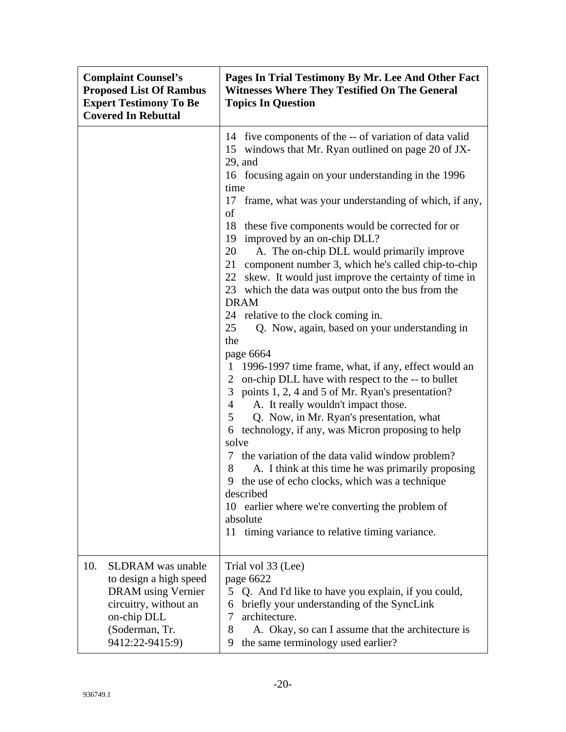| <b>Complaint Counsel's</b><br><b>Proposed List Of Rambus</b><br><b>Expert Testimony To Be</b><br><b>Covered In Rebuttal</b>                                         | Pages In Trial Testimony By Mr. Lee And Other Fact<br><b>Witnesses Where They Testified On The General</b><br><b>Topics In Question</b>                                                                                                                                                                                                                                                                                                                                                                                                                                                                                                                                                                                                                                                                                                                                                                                                                                                                                                                                                                                                                                                                                                                                                                                                                                                                                  |
|---------------------------------------------------------------------------------------------------------------------------------------------------------------------|--------------------------------------------------------------------------------------------------------------------------------------------------------------------------------------------------------------------------------------------------------------------------------------------------------------------------------------------------------------------------------------------------------------------------------------------------------------------------------------------------------------------------------------------------------------------------------------------------------------------------------------------------------------------------------------------------------------------------------------------------------------------------------------------------------------------------------------------------------------------------------------------------------------------------------------------------------------------------------------------------------------------------------------------------------------------------------------------------------------------------------------------------------------------------------------------------------------------------------------------------------------------------------------------------------------------------------------------------------------------------------------------------------------------------|
|                                                                                                                                                                     | 14 five components of the -- of variation of data valid<br>15 windows that Mr. Ryan outlined on page 20 of JX-<br>$29$ , and<br>16 focusing again on your understanding in the 1996<br>time<br>17 frame, what was your understanding of which, if any,<br>of<br>18<br>these five components would be corrected for or<br>improved by an on-chip DLL?<br>19<br>20<br>A. The on-chip DLL would primarily improve<br>21<br>component number 3, which he's called chip-to-chip<br>skew. It would just improve the certainty of time in<br>22<br>which the data was output onto the bus from the<br>23<br><b>DRAM</b><br>24 relative to the clock coming in.<br>25<br>Q. Now, again, based on your understanding in<br>the<br>page 6664<br>1996-1997 time frame, what, if any, effect would an<br>$\mathbf{I}$<br>on-chip DLL have with respect to the -- to bullet<br>$\overline{2}$<br>points 1, 2, 4 and 5 of Mr. Ryan's presentation?<br>3 <sup>1</sup><br>A. It really wouldn't impact those.<br>4<br>Q. Now, in Mr. Ryan's presentation, what<br>5<br>technology, if any, was Micron proposing to help<br>6<br>solve<br>7 the variation of the data valid window problem?<br>A. I think at this time he was primarily proposing<br>8<br>9 the use of echo clocks, which was a technique<br>described<br>10 earlier where we're converting the problem of<br>absolute<br>11 timing variance to relative timing variance. |
| 10.<br><b>SLDRAM</b> was unable<br>to design a high speed<br><b>DRAM</b> using Vernier<br>circuitry, without an<br>on-chip DLL<br>(Soderman, Tr.<br>9412:22-9415:9) | Trial vol 33 (Lee)<br>page 6622<br>5<br>Q. And I'd like to have you explain, if you could,<br>briefly your understanding of the SyncLink<br>6<br>architecture.<br>7<br>8<br>A. Okay, so can I assume that the architecture is<br>the same terminology used earlier?<br>9                                                                                                                                                                                                                                                                                                                                                                                                                                                                                                                                                                                                                                                                                                                                                                                                                                                                                                                                                                                                                                                                                                                                                 |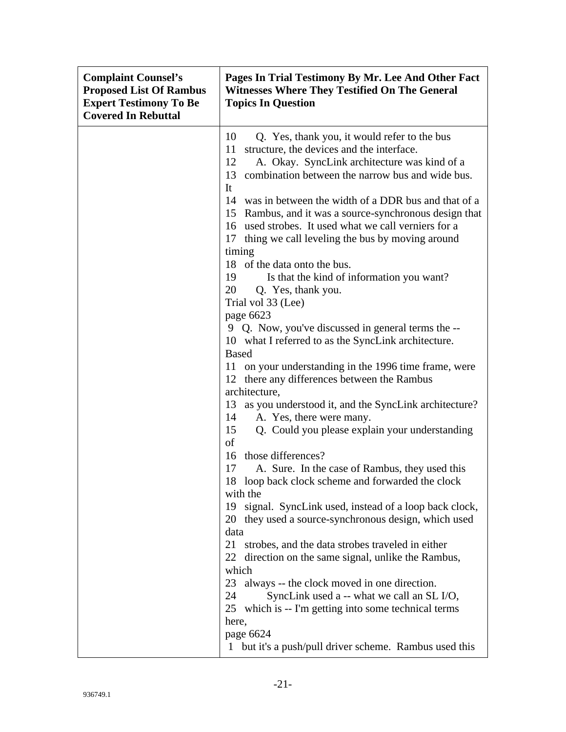| <b>Complaint Counsel's</b><br><b>Proposed List Of Rambus</b><br><b>Expert Testimony To Be</b><br><b>Covered In Rebuttal</b> | Pages In Trial Testimony By Mr. Lee And Other Fact<br><b>Witnesses Where They Testified On The General</b><br><b>Topics In Question</b>                                                                                                                                                                                                                                                                                                                                                                                                                                                                                                                                                                                                                                                                                                                                                                                                                                                                                                                                                                                                                                                                                                                                                                                                                                                          |
|-----------------------------------------------------------------------------------------------------------------------------|--------------------------------------------------------------------------------------------------------------------------------------------------------------------------------------------------------------------------------------------------------------------------------------------------------------------------------------------------------------------------------------------------------------------------------------------------------------------------------------------------------------------------------------------------------------------------------------------------------------------------------------------------------------------------------------------------------------------------------------------------------------------------------------------------------------------------------------------------------------------------------------------------------------------------------------------------------------------------------------------------------------------------------------------------------------------------------------------------------------------------------------------------------------------------------------------------------------------------------------------------------------------------------------------------------------------------------------------------------------------------------------------------|
|                                                                                                                             | 10<br>Q. Yes, thank you, it would refer to the bus<br>structure, the devices and the interface.<br>11<br>12<br>A. Okay. SyncLink architecture was kind of a<br>combination between the narrow bus and wide bus.<br>13<br>It<br>was in between the width of a DDR bus and that of a<br>14<br>Rambus, and it was a source-synchronous design that<br>15<br>16 used strobes. It used what we call verniers for a<br>17 thing we call leveling the bus by moving around<br>timing<br>18 of the data onto the bus.<br>Is that the kind of information you want?<br>19<br>20<br>Q. Yes, thank you.<br>Trial vol 33 (Lee)<br>page 6623<br>9 Q. Now, you've discussed in general terms the --<br>10 what I referred to as the SyncLink architecture.<br><b>Based</b><br>on your understanding in the 1996 time frame, were<br>11<br>12 there any differences between the Rambus<br>architecture,<br>as you understood it, and the SyncLink architecture?<br>13<br>A. Yes, there were many.<br>14<br>Q. Could you please explain your understanding<br>15<br>of<br>16 those differences?<br>A. Sure. In the case of Rambus, they used this<br>17<br>18 loop back clock scheme and forwarded the clock<br>with the<br>19<br>signal. SyncLink used, instead of a loop back clock,<br>20 they used a source-synchronous design, which used<br>data<br>21<br>strobes, and the data strobes traveled in either |
|                                                                                                                             | direction on the same signal, unlike the Rambus,<br>22<br>which<br>23<br>always -- the clock moved in one direction.<br>24<br>SyncLink used a -- what we call an SL I/O,<br>25<br>which is -- I'm getting into some technical terms<br>here,<br>page 6624<br>1 but it's a push/pull driver scheme. Rambus used this                                                                                                                                                                                                                                                                                                                                                                                                                                                                                                                                                                                                                                                                                                                                                                                                                                                                                                                                                                                                                                                                              |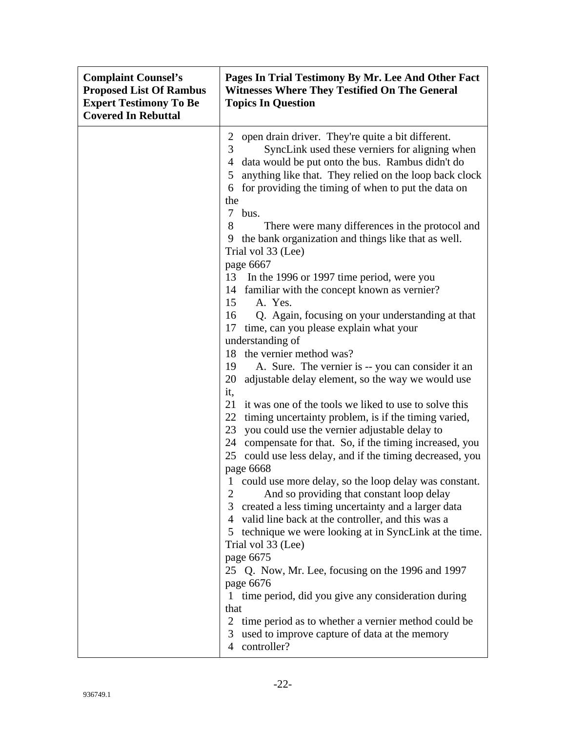| open drain driver. They're quite a bit different.<br>2<br>SyncLink used these verniers for aligning when<br>3<br>data would be put onto the bus. Rambus didn't do<br>4<br>anything like that. They relied on the loop back clock<br>5<br>for providing the timing of when to put the data on<br>6<br>the<br>$\tau$<br>bus.<br>8<br>There were many differences in the protocol and<br>9 the bank organization and things like that as well.<br>Trial vol 33 (Lee)<br>page 6667<br>In the 1996 or 1997 time period, were you<br>13<br>14 familiar with the concept known as vernier?<br>A. Yes.<br>15<br>16<br>Q. Again, focusing on your understanding at that<br>17 time, can you please explain what your<br>understanding of<br>18 the vernier method was?<br>19<br>A. Sure. The vernier is -- you can consider it an<br>20<br>adjustable delay element, so the way we would use<br>it,<br>21<br>it was one of the tools we liked to use to solve this<br>22<br>timing uncertainty problem, is if the timing varied,<br>23<br>you could use the vernier adjustable delay to<br>24 compensate for that. So, if the timing increased, you<br>could use less delay, and if the timing decreased, you<br>25<br>page 6668<br>1 could use more delay, so the loop delay was constant.<br>And so providing that constant loop delay<br>2<br>3 created a less timing uncertainty and a larger data |
|-----------------------------------------------------------------------------------------------------------------------------------------------------------------------------------------------------------------------------------------------------------------------------------------------------------------------------------------------------------------------------------------------------------------------------------------------------------------------------------------------------------------------------------------------------------------------------------------------------------------------------------------------------------------------------------------------------------------------------------------------------------------------------------------------------------------------------------------------------------------------------------------------------------------------------------------------------------------------------------------------------------------------------------------------------------------------------------------------------------------------------------------------------------------------------------------------------------------------------------------------------------------------------------------------------------------------------------------------------------------------------------------------|
| 4 valid line back at the controller, and this was a<br>5 technique we were looking at in SyncLink at the time.<br>Trial vol 33 (Lee)                                                                                                                                                                                                                                                                                                                                                                                                                                                                                                                                                                                                                                                                                                                                                                                                                                                                                                                                                                                                                                                                                                                                                                                                                                                          |
| page 6675<br>25 Q. Now, Mr. Lee, focusing on the 1996 and 1997<br>page 6676<br>time period, did you give any consideration during<br>$\bf{l}$<br>that<br>$\overline{2}$<br>time period as to whether a vernier method could be<br>used to improve capture of data at the memory<br>3<br>controller?                                                                                                                                                                                                                                                                                                                                                                                                                                                                                                                                                                                                                                                                                                                                                                                                                                                                                                                                                                                                                                                                                           |
| $\overline{4}$                                                                                                                                                                                                                                                                                                                                                                                                                                                                                                                                                                                                                                                                                                                                                                                                                                                                                                                                                                                                                                                                                                                                                                                                                                                                                                                                                                                |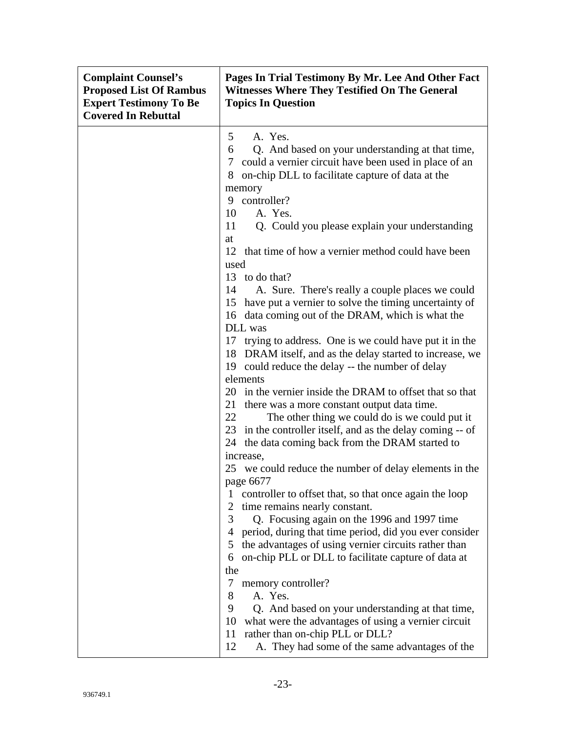| <b>Complaint Counsel's</b><br><b>Proposed List Of Rambus</b><br><b>Expert Testimony To Be</b><br><b>Covered In Rebuttal</b> | Pages In Trial Testimony By Mr. Lee And Other Fact<br><b>Witnesses Where They Testified On The General</b><br><b>Topics In Question</b>                                                                                                                                                                                                                                                                                          |
|-----------------------------------------------------------------------------------------------------------------------------|----------------------------------------------------------------------------------------------------------------------------------------------------------------------------------------------------------------------------------------------------------------------------------------------------------------------------------------------------------------------------------------------------------------------------------|
|                                                                                                                             | A. Yes.<br>5<br>Q. And based on your understanding at that time,<br>6<br>could a vernier circuit have been used in place of an<br>7<br>on-chip DLL to facilitate capture of data at the<br>8<br>memory<br>controller?<br>9<br>A. Yes.<br>10<br>Q. Could you please explain your understanding<br>11<br>at                                                                                                                        |
|                                                                                                                             | 12 that time of how a vernier method could have been<br>used<br>13 to do that?<br>A. Sure. There's really a couple places we could<br>14<br>15 have put a vernier to solve the timing uncertainty of<br>16 data coming out of the DRAM, which is what the<br>DLL was<br>17 trying to address. One is we could have put it in the                                                                                                 |
|                                                                                                                             | 18 DRAM itself, and as the delay started to increase, we<br>19 could reduce the delay -- the number of delay<br>elements<br>20 in the vernier inside the DRAM to offset that so that<br>21<br>there was a more constant output data time.<br>22<br>The other thing we could do is we could put it<br>23 in the controller itself, and as the delay coming -- of<br>24 the data coming back from the DRAM started to<br>increase, |
|                                                                                                                             | 25 we could reduce the number of delay elements in the<br>page 6677<br>controller to offset that, so that once again the loop<br>time remains nearly constant.<br>2<br>3<br>Q. Focusing again on the 1996 and 1997 time<br>4 period, during that time period, did you ever consider<br>the advantages of using vernier circuits rather than<br>5<br>on-chip PLL or DLL to facilitate capture of data at<br>6                     |
|                                                                                                                             | the<br>7<br>memory controller?<br>A. Yes.<br>8<br>9<br>Q. And based on your understanding at that time,<br>what were the advantages of using a vernier circuit<br>10<br>rather than on-chip PLL or DLL?<br>11<br>12<br>A. They had some of the same advantages of the                                                                                                                                                            |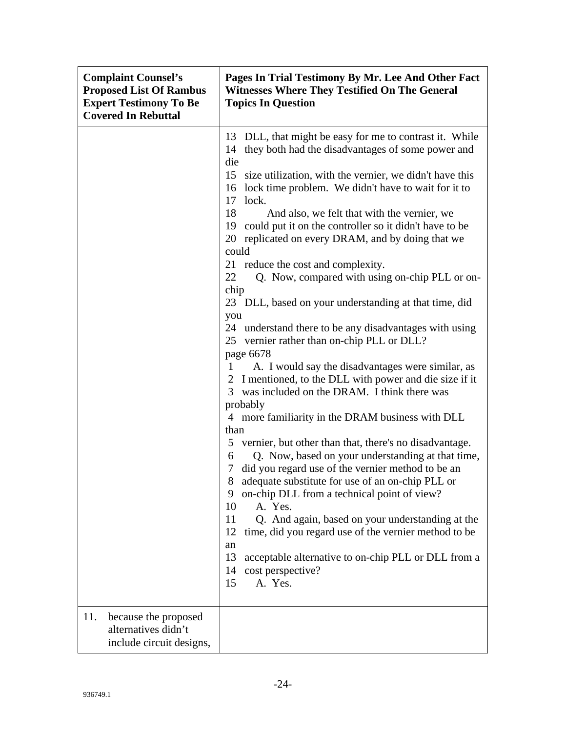| <b>Complaint Counsel's</b><br><b>Proposed List Of Rambus</b><br><b>Expert Testimony To Be</b><br><b>Covered In Rebuttal</b> | Pages In Trial Testimony By Mr. Lee And Other Fact<br><b>Witnesses Where They Testified On The General</b><br><b>Topics In Question</b>                                                                                                                                                                                                                                                                                                                                                                                                                                                                                                                                                                                                                                                                                                                                                                                                                                                                                                                                                                                                                                                                                                                                                                                                                                                                                                                                                                                                              |
|-----------------------------------------------------------------------------------------------------------------------------|------------------------------------------------------------------------------------------------------------------------------------------------------------------------------------------------------------------------------------------------------------------------------------------------------------------------------------------------------------------------------------------------------------------------------------------------------------------------------------------------------------------------------------------------------------------------------------------------------------------------------------------------------------------------------------------------------------------------------------------------------------------------------------------------------------------------------------------------------------------------------------------------------------------------------------------------------------------------------------------------------------------------------------------------------------------------------------------------------------------------------------------------------------------------------------------------------------------------------------------------------------------------------------------------------------------------------------------------------------------------------------------------------------------------------------------------------------------------------------------------------------------------------------------------------|
|                                                                                                                             | DLL, that might be easy for me to contrast it. While<br>13<br>they both had the disadvantages of some power and<br>14<br>die<br>15 size utilization, with the vernier, we didn't have this<br>lock time problem. We didn't have to wait for it to<br>16<br>17<br>lock.<br>18<br>And also, we felt that with the vernier, we<br>could put it on the controller so it didn't have to be<br>19<br>20 replicated on every DRAM, and by doing that we<br>could<br>21 reduce the cost and complexity.<br>22<br>Q. Now, compared with using on-chip PLL or on-<br>chip<br>23 DLL, based on your understanding at that time, did<br>you<br>24 understand there to be any disadvantages with using<br>25 vernier rather than on-chip PLL or DLL?<br>page 6678<br>A. I would say the disadvantages were similar, as<br>1<br>2 I mentioned, to the DLL with power and die size if it<br>3 was included on the DRAM. I think there was<br>probably<br>4 more familiarity in the DRAM business with DLL<br>than<br>5 vernier, but other than that, there's no disadvantage.<br>Q. Now, based on your understanding at that time,<br>6<br>did you regard use of the vernier method to be an<br>7<br>8 adequate substitute for use of an on-chip PLL or<br>on-chip DLL from a technical point of view?<br>9<br>10<br>A. Yes.<br>11<br>Q. And again, based on your understanding at the<br>12<br>time, did you regard use of the vernier method to be<br>an<br>13<br>acceptable alternative to on-chip PLL or DLL from a<br>14<br>cost perspective?<br>A. Yes.<br>15 |
| 11.<br>because the proposed<br>alternatives didn't<br>include circuit designs,                                              |                                                                                                                                                                                                                                                                                                                                                                                                                                                                                                                                                                                                                                                                                                                                                                                                                                                                                                                                                                                                                                                                                                                                                                                                                                                                                                                                                                                                                                                                                                                                                      |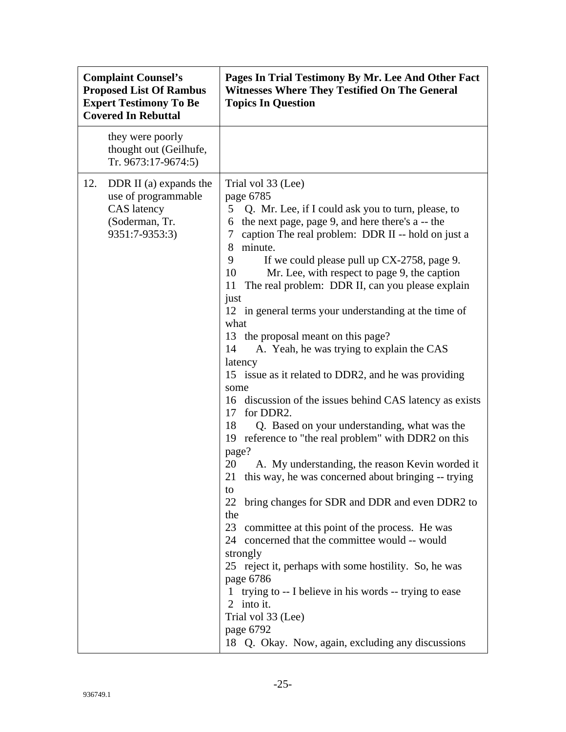| <b>Complaint Counsel's</b><br><b>Proposed List Of Rambus</b><br><b>Expert Testimony To Be</b><br><b>Covered In Rebuttal</b> | Pages In Trial Testimony By Mr. Lee And Other Fact<br><b>Witnesses Where They Testified On The General</b><br><b>Topics In Question</b>                                                                                                                                                                                                                                                                                                                                                                                                                                                                                                                                                                                                                                                                                                                                                                                                                                                                                                                                                                                                                                                                                                                                                                                                                                                                                           |
|-----------------------------------------------------------------------------------------------------------------------------|-----------------------------------------------------------------------------------------------------------------------------------------------------------------------------------------------------------------------------------------------------------------------------------------------------------------------------------------------------------------------------------------------------------------------------------------------------------------------------------------------------------------------------------------------------------------------------------------------------------------------------------------------------------------------------------------------------------------------------------------------------------------------------------------------------------------------------------------------------------------------------------------------------------------------------------------------------------------------------------------------------------------------------------------------------------------------------------------------------------------------------------------------------------------------------------------------------------------------------------------------------------------------------------------------------------------------------------------------------------------------------------------------------------------------------------|
| they were poorly<br>thought out (Geilhufe,<br>Tr. 9673:17-9674:5)                                                           |                                                                                                                                                                                                                                                                                                                                                                                                                                                                                                                                                                                                                                                                                                                                                                                                                                                                                                                                                                                                                                                                                                                                                                                                                                                                                                                                                                                                                                   |
| 12.<br>DDR II (a) expands the<br>use of programmable<br>CAS latency<br>(Soderman, Tr.<br>9351:7-9353:3)                     | Trial vol 33 (Lee)<br>page 6785<br>5 Q. Mr. Lee, if I could ask you to turn, please, to<br>the next page, page 9, and here there's a -- the<br>6<br>caption The real problem: DDR II -- hold on just a<br>$\tau$<br>minute.<br>8<br>9<br>If we could please pull up CX-2758, page 9.<br>Mr. Lee, with respect to page 9, the caption<br>10<br>The real problem: DDR II, can you please explain<br>11<br>just<br>12 in general terms your understanding at the time of<br>what<br>13 the proposal meant on this page?<br>A. Yeah, he was trying to explain the CAS<br>14<br>latency<br>15 issue as it related to DDR2, and he was providing<br>some<br>16 discussion of the issues behind CAS latency as exists<br>for DDR2.<br>17<br>18<br>Q. Based on your understanding, what was the<br>reference to "the real problem" with DDR2 on this<br>19<br>page?<br>20<br>A. My understanding, the reason Kevin worded it<br>this way, he was concerned about bringing -- trying<br>21<br>to<br>bring changes for SDR and DDR and even DDR2 to<br>22<br>the<br>23 committee at this point of the process. He was<br>concerned that the committee would -- would<br>24<br>strongly<br>25 reject it, perhaps with some hostility. So, he was<br>page 6786<br>trying to -- I believe in his words -- trying to ease<br>$\mathbf{1}$<br>2 into it.<br>Trial vol 33 (Lee)<br>page 6792<br>18 Q. Okay. Now, again, excluding any discussions |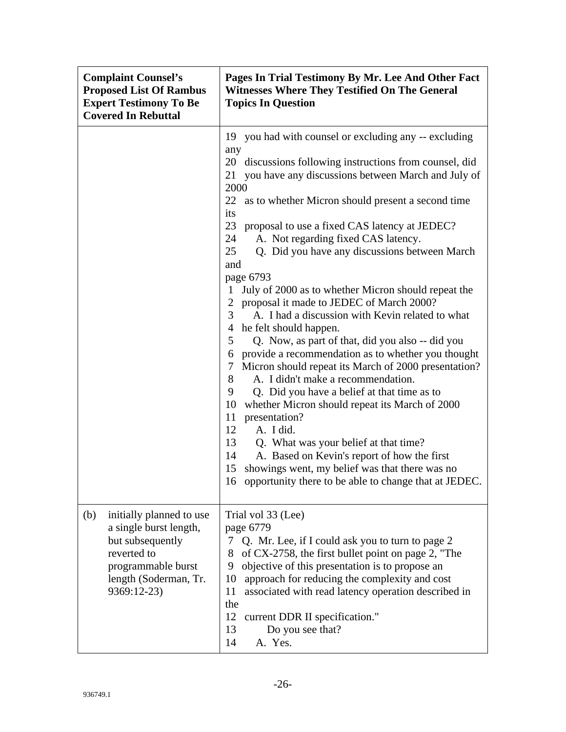| <b>Complaint Counsel's</b><br><b>Proposed List Of Rambus</b><br><b>Expert Testimony To Be</b><br><b>Covered In Rebuttal</b>                                | Pages In Trial Testimony By Mr. Lee And Other Fact<br><b>Witnesses Where They Testified On The General</b><br><b>Topics In Question</b>                                                                                                                                                                                                                                                                                                                                                                                                                                                                                                                                                                                                                                                                                                                                                                                                                                                                                                                                                                                                                                                                                                                               |
|------------------------------------------------------------------------------------------------------------------------------------------------------------|-----------------------------------------------------------------------------------------------------------------------------------------------------------------------------------------------------------------------------------------------------------------------------------------------------------------------------------------------------------------------------------------------------------------------------------------------------------------------------------------------------------------------------------------------------------------------------------------------------------------------------------------------------------------------------------------------------------------------------------------------------------------------------------------------------------------------------------------------------------------------------------------------------------------------------------------------------------------------------------------------------------------------------------------------------------------------------------------------------------------------------------------------------------------------------------------------------------------------------------------------------------------------|
|                                                                                                                                                            | 19 you had with counsel or excluding any -- excluding<br>any<br>20 discussions following instructions from counsel, did<br>21 you have any discussions between March and July of<br>2000<br>22<br>as to whether Micron should present a second time<br>its<br>23<br>proposal to use a fixed CAS latency at JEDEC?<br>24<br>A. Not regarding fixed CAS latency.<br>25<br>Q. Did you have any discussions between March<br>and<br>page 6793<br>July of 2000 as to whether Micron should repeat the<br>1<br>$\overline{2}$<br>proposal it made to JEDEC of March 2000?<br>A. I had a discussion with Kevin related to what<br>3<br>he felt should happen.<br>4<br>5<br>Q. Now, as part of that, did you also -- did you<br>provide a recommendation as to whether you thought<br>6<br>Micron should repeat its March of 2000 presentation?<br>7<br>A. I didn't make a recommendation.<br>8<br>9<br>Q. Did you have a belief at that time as to<br>10<br>whether Micron should repeat its March of 2000<br>presentation?<br>11<br>A. I did.<br>12<br>13<br>Q. What was your belief at that time?<br>A. Based on Kevin's report of how the first<br>14<br>showings went, my belief was that there was no<br>15<br>16 opportunity there to be able to change that at JEDEC. |
| (b)<br>initially planned to use<br>a single burst length,<br>but subsequently<br>reverted to<br>programmable burst<br>length (Soderman, Tr.<br>9369:12-23) | Trial vol 33 (Lee)<br>page 6779<br>Q. Mr. Lee, if I could ask you to turn to page 2<br>7<br>of CX-2758, the first bullet point on page 2, "The<br>8<br>objective of this presentation is to propose an<br>9<br>approach for reducing the complexity and cost<br>10<br>11<br>associated with read latency operation described in<br>the<br>12<br>current DDR II specification."<br>13<br>Do you see that?<br>A. Yes.<br>14                                                                                                                                                                                                                                                                                                                                                                                                                                                                                                                                                                                                                                                                                                                                                                                                                                             |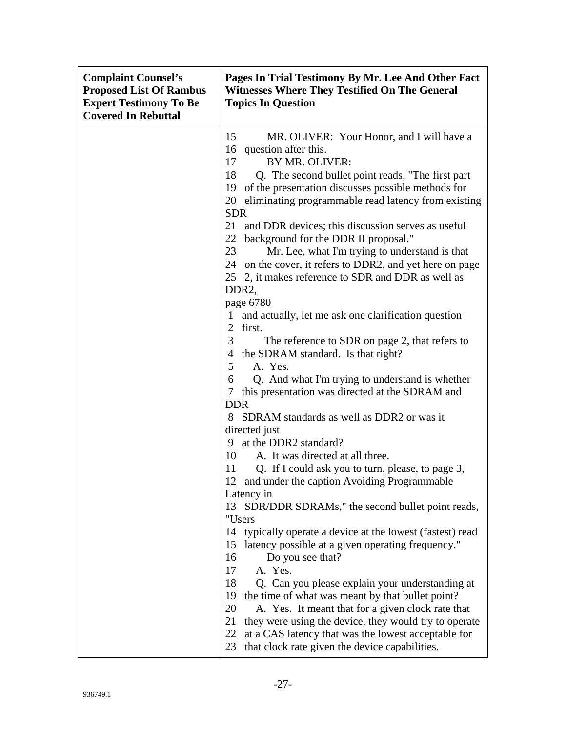| <b>Complaint Counsel's</b><br><b>Proposed List Of Rambus</b><br><b>Expert Testimony To Be</b><br><b>Covered In Rebuttal</b> | Pages In Trial Testimony By Mr. Lee And Other Fact<br><b>Witnesses Where They Testified On The General</b><br><b>Topics In Question</b>                                                                                                                                                                                                                                                                                                                                                                                                                                                                                                                                                                                                                                                                                                                                                                                                                                                                                                                                                                                                                                                                                                                                                                                                                                                                                                                                                                                                                                                                                                                                                                                                                                                             |
|-----------------------------------------------------------------------------------------------------------------------------|-----------------------------------------------------------------------------------------------------------------------------------------------------------------------------------------------------------------------------------------------------------------------------------------------------------------------------------------------------------------------------------------------------------------------------------------------------------------------------------------------------------------------------------------------------------------------------------------------------------------------------------------------------------------------------------------------------------------------------------------------------------------------------------------------------------------------------------------------------------------------------------------------------------------------------------------------------------------------------------------------------------------------------------------------------------------------------------------------------------------------------------------------------------------------------------------------------------------------------------------------------------------------------------------------------------------------------------------------------------------------------------------------------------------------------------------------------------------------------------------------------------------------------------------------------------------------------------------------------------------------------------------------------------------------------------------------------------------------------------------------------------------------------------------------------|
|                                                                                                                             | 15<br>MR. OLIVER: Your Honor, and I will have a<br>16 question after this.<br>BY MR. OLIVER:<br>17<br>18<br>Q. The second bullet point reads, "The first part<br>of the presentation discusses possible methods for<br>19<br>eliminating programmable read latency from existing<br>20<br><b>SDR</b><br>21<br>and DDR devices; this discussion serves as useful<br>22<br>background for the DDR II proposal."<br>23<br>Mr. Lee, what I'm trying to understand is that<br>24 on the cover, it refers to DDR2, and yet here on page<br>25 2, it makes reference to SDR and DDR as well as<br>DDR <sub>2</sub><br>page 6780<br>and actually, let me ask one clarification question<br>first.<br>$\overline{2}$<br>3 <sup>1</sup><br>The reference to SDR on page 2, that refers to<br>4 the SDRAM standard. Is that right?<br>A. Yes.<br>$5^{\circ}$<br>Q. And what I'm trying to understand is whether<br>6<br>this presentation was directed at the SDRAM and<br>7<br><b>DDR</b><br>8 SDRAM standards as well as DDR2 or was it<br>directed just<br>9 at the DDR2 standard?<br>A. It was directed at all three.<br>10<br>11<br>Q. If I could ask you to turn, please, to page 3,<br>12 and under the caption Avoiding Programmable<br>Latency in<br>SDR/DDR SDRAMs," the second bullet point reads,<br>13<br>"Users<br>typically operate a device at the lowest (fastest) read<br>14<br>15<br>latency possible at a given operating frequency."<br>16<br>Do you see that?<br>17<br>A. Yes.<br>18<br>Q. Can you please explain your understanding at<br>19<br>the time of what was meant by that bullet point?<br>20<br>A. Yes. It meant that for a given clock rate that<br>21<br>they were using the device, they would try to operate<br>22<br>at a CAS latency that was the lowest acceptable for |
|                                                                                                                             | that clock rate given the device capabilities.<br>23                                                                                                                                                                                                                                                                                                                                                                                                                                                                                                                                                                                                                                                                                                                                                                                                                                                                                                                                                                                                                                                                                                                                                                                                                                                                                                                                                                                                                                                                                                                                                                                                                                                                                                                                                |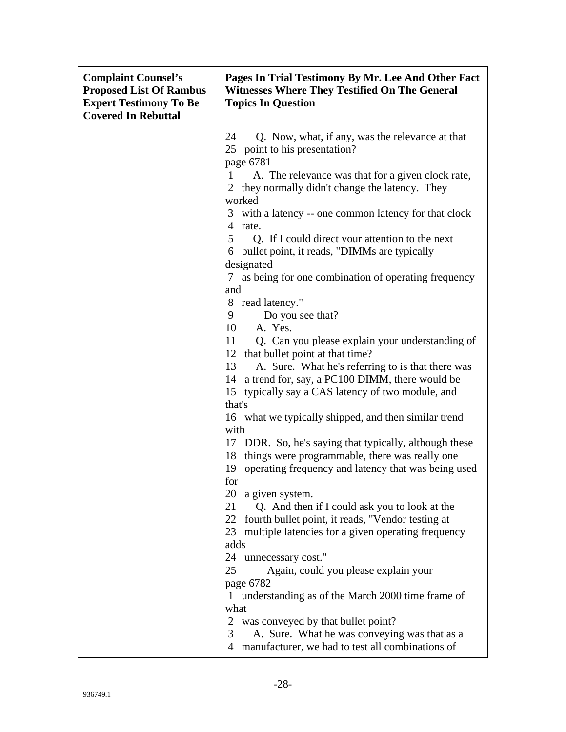| <b>Complaint Counsel's</b><br><b>Proposed List Of Rambus</b><br><b>Expert Testimony To Be</b><br><b>Covered In Rebuttal</b> | Pages In Trial Testimony By Mr. Lee And Other Fact<br><b>Witnesses Where They Testified On The General</b><br><b>Topics In Question</b>                                                                  |
|-----------------------------------------------------------------------------------------------------------------------------|----------------------------------------------------------------------------------------------------------------------------------------------------------------------------------------------------------|
|                                                                                                                             | 24<br>Q. Now, what, if any, was the relevance at that<br>25 point to his presentation?<br>page 6781                                                                                                      |
|                                                                                                                             | A. The relevance was that for a given clock rate,<br>1<br>2 they normally didn't change the latency. They<br>worked                                                                                      |
|                                                                                                                             | with a latency -- one common latency for that clock<br>3<br>$\overline{4}$<br>rate.                                                                                                                      |
|                                                                                                                             | 5<br>Q. If I could direct your attention to the next<br>bullet point, it reads, "DIMMs are typically<br>6<br>designated                                                                                  |
|                                                                                                                             | 7 as being for one combination of operating frequency<br>and                                                                                                                                             |
|                                                                                                                             | 8 read latency."<br>Do you see that?<br>9<br>10<br>A. Yes.                                                                                                                                               |
|                                                                                                                             | Q. Can you please explain your understanding of<br>11<br>12 that bullet point at that time?                                                                                                              |
|                                                                                                                             | A. Sure. What he's referring to is that there was<br>13<br>a trend for, say, a PC100 DIMM, there would be<br>14<br>15 typically say a CAS latency of two module, and                                     |
|                                                                                                                             | that's<br>16 what we typically shipped, and then similar trend<br>with                                                                                                                                   |
|                                                                                                                             | 17 DDR. So, he's saying that typically, although these<br>18 things were programmable, there was really one<br>operating frequency and latency that was being used<br>19<br>for<br>20<br>a given system. |
|                                                                                                                             | 21<br>Q. And then if I could ask you to look at the<br>22 fourth bullet point, it reads, "Vendor testing at<br>multiple latencies for a given operating frequency<br>23<br>adds                          |
|                                                                                                                             | 24 unnecessary cost."<br>25<br>Again, could you please explain your                                                                                                                                      |
|                                                                                                                             | page 6782<br>understanding as of the March 2000 time frame of<br>$\mathbf{1}$<br>what                                                                                                                    |
|                                                                                                                             | $\overline{2}$<br>was conveyed by that bullet point?<br>A. Sure. What he was conveying was that as a<br>3<br>manufacturer, we had to test all combinations of<br>4                                       |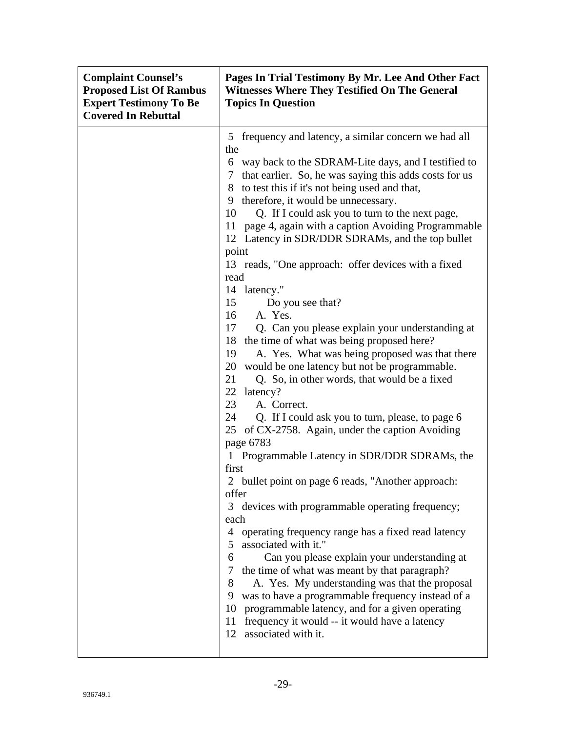| <b>Complaint Counsel's</b><br><b>Proposed List Of Rambus</b><br><b>Expert Testimony To Be</b><br><b>Covered In Rebuttal</b> | Pages In Trial Testimony By Mr. Lee And Other Fact<br><b>Witnesses Where They Testified On The General</b><br><b>Topics In Question</b>                                                                                                                                                                                                                                                                                                                                                                                                                                                                                                                                                                                                                                                                                                                                                                                                                                                                                                                                                                                                                                                                                                                                                                                                                                                                                                                                                                                                                                                                                                                                                                                       |
|-----------------------------------------------------------------------------------------------------------------------------|-------------------------------------------------------------------------------------------------------------------------------------------------------------------------------------------------------------------------------------------------------------------------------------------------------------------------------------------------------------------------------------------------------------------------------------------------------------------------------------------------------------------------------------------------------------------------------------------------------------------------------------------------------------------------------------------------------------------------------------------------------------------------------------------------------------------------------------------------------------------------------------------------------------------------------------------------------------------------------------------------------------------------------------------------------------------------------------------------------------------------------------------------------------------------------------------------------------------------------------------------------------------------------------------------------------------------------------------------------------------------------------------------------------------------------------------------------------------------------------------------------------------------------------------------------------------------------------------------------------------------------------------------------------------------------------------------------------------------------|
|                                                                                                                             | 5 frequency and latency, a similar concern we had all<br>the<br>6 way back to the SDRAM-Lite days, and I testified to<br>7 that earlier. So, he was saying this adds costs for us<br>8 to test this if it's not being used and that,<br>therefore, it would be unnecessary.<br>9<br>10<br>Q. If I could ask you to turn to the next page,<br>page 4, again with a caption Avoiding Programmable<br>11<br>12 Latency in SDR/DDR SDRAMs, and the top bullet<br>point<br>13 reads, "One approach: offer devices with a fixed<br>read<br>14 latency."<br>Do you see that?<br>15<br>A. Yes.<br>16<br>17<br>Q. Can you please explain your understanding at<br>the time of what was being proposed here?<br>18<br>A. Yes. What was being proposed was that there<br>19<br>would be one latency but not be programmable.<br>20<br>21<br>Q. So, in other words, that would be a fixed<br>22<br>latency?<br>23<br>A. Correct.<br>24<br>Q. If I could ask you to turn, please, to page 6<br>of CX-2758. Again, under the caption Avoiding<br>25<br>page 6783<br>1 Programmable Latency in SDR/DDR SDRAMs, the<br>first<br>2 bullet point on page 6 reads, "Another approach:<br>offer<br>devices with programmable operating frequency;<br>3<br>each<br>operating frequency range has a fixed read latency<br>$\overline{4}$<br>associated with it."<br>5<br>Can you please explain your understanding at<br>6<br>the time of what was meant by that paragraph?<br>$\tau$<br>8<br>A. Yes. My understanding was that the proposal<br>9<br>was to have a programmable frequency instead of a<br>10<br>programmable latency, and for a given operating<br>frequency it would -- it would have a latency<br>11<br>associated with it.<br>12 |
|                                                                                                                             |                                                                                                                                                                                                                                                                                                                                                                                                                                                                                                                                                                                                                                                                                                                                                                                                                                                                                                                                                                                                                                                                                                                                                                                                                                                                                                                                                                                                                                                                                                                                                                                                                                                                                                                               |